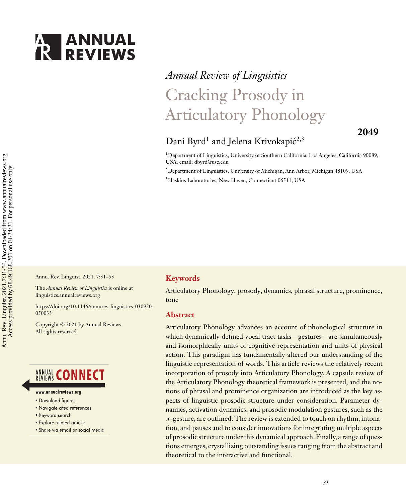

# *Annual Review of Linguistics* Cracking Prosody in Articulatory Phonology

# **2049**

# Dani Byrd<sup>1</sup> and Jelena Krivokapić<sup>2,3</sup>

1Department of Linguistics, University of Southern California, Los Angeles, California 90089, USA; email: [dbyrd@usc.edu](mailto:dbyrd@usc.edu)

2Department of Linguistics, University of Michigan, Ann Arbor, Michigan 48109, USA

3Haskins Laboratories, New Haven, Connecticut 06511, USA

Annu. Rev. Linguist. 2021. 7:31–53

The *Annual Review of Linguistics* is online at linguistics.annualreviews.org

[https://doi.org/10.1146/annurev-linguistics-030920-](https://doi.org/10.1146/annurev-linguistics-030920-050033) 050033

Copyright © 2021 by Annual Reviews. All rights reserved

# **ANNUAL CONNECT**

#### www.annualreviews.org

- Download figures
- Navigate cited references
- Keyword search
- · Explore related articles
- · Share via email or social media

#### **Keywords**

Articulatory Phonology, prosody, dynamics, phrasal structure, prominence, tone

#### **Abstract**

Articulatory Phonology advances an account of phonological structure in which dynamically defined vocal tract tasks—gestures—are simultaneously and isomorphically units of cognitive representation and units of physical action. This paradigm has fundamentally altered our understanding of the linguistic representation of words. This article reviews the relatively recent incorporation of prosody into Articulatory Phonology. A capsule review of the Articulatory Phonology theoretical framework is presented, and the notions of phrasal and prominence organization are introduced as the key aspects of linguistic prosodic structure under consideration. Parameter dynamics, activation dynamics, and prosodic modulation gestures, such as the π-gesture, are outlined. The review is extended to touch on rhythm, intonation, and pauses and to consider innovations for integrating multiple aspects of prosodic structure under this dynamical approach. Finally, a range of questions emerges, crystallizing outstanding issues ranging from the abstract and theoretical to the interactive and functional.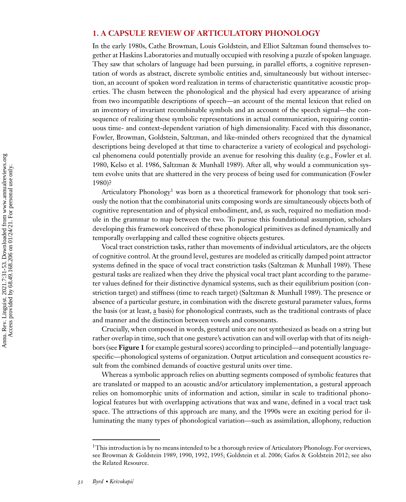# **1. A CAPSULE REVIEW OF ARTICULATORY PHONOLOGY**

In the early 1980s, Cathe Browman, Louis Goldstein, and Elliot Saltzman found themselves together at Haskins Laboratories and mutually occupied with resolving a puzzle of spoken language. They saw that scholars of language had been pursuing, in parallel efforts, a cognitive representation of words as abstract, discrete symbolic entities and, simultaneously but without intersection, an account of spoken word realization in terms of characteristic quantitative acoustic properties. The chasm between the phonological and the physical had every appearance of arising from two incompatible descriptions of speech—an account of the mental lexicon that relied on an inventory of invariant recombinable symbols and an account of the speech signal—the consequence of realizing these symbolic representations in actual communication, requiring continuous time- and context-dependent variation of high dimensionality. Faced with this dissonance, Fowler, Browman, Goldstein, Saltzman, and like-minded others recognized that the dynamical descriptions being developed at that time to characterize a variety of ecological and psychologi[cal phenomena could potentially provide an avenue for resolving this duality \(e.g., Fowler et al.](#page-18-0) 1980, [Kelso et al. 1986,](#page-19-0) [Saltzman & Munhall 1989\)](#page-21-0). After all, why would a communication sys[tem evolve units that are shattered in the very process of being used for communication \(Fowler](#page-18-0) 1980)?

Articulatory Phonology<sup>1</sup> was born as a theoretical framework for phonology that took seriously the notion that the combinatorial units composing words are simultaneously objects both of cognitive representation and of physical embodiment, and, as such, required no mediation module in the grammar to map between the two. To pursue this foundational assumption, scholars developing this framework conceived of these phonological primitives as defined dynamically and temporally overlapping and called these cognitive objects gestures.

Vocal tract constriction tasks, rather than movements of individual articulators, are the objects of cognitive control. At the ground level, gestures are modeled as critically damped point attractor systems defined in the space of vocal tract constriction tasks [\(Saltzman & Munhall 1989\)](#page-21-0). These gestural tasks are realized when they drive the physical vocal tract plant according to the parameter values defined for their distinctive dynamical systems, such as their equilibrium position (constriction target) and stiffness (time to reach target) [\(Saltzman & Munhall 1989\)](#page-21-0). The presence or absence of a particular gesture, in combination with the discrete gestural parameter values, forms the basis (or at least, a basis) for phonological contrasts, such as the traditional contrasts of place and manner and the distinction between vowels and consonants.

Crucially, when composed in words, gestural units are not synthesized as beads on a string but rather overlap in time, such that one gesture's activation can and will overlap with that of its neighbors (see **Figure 1** for example gestural scores) according to principled—and potentially languagespecific—phonological systems of organization. Output articulation and consequent acoustics result from the combined demands of coactive gestural units over time.

Whereas a symbolic approach relies on abutting segments composed of symbolic features that are translated or mapped to an acoustic and/or articulatory implementation, a gestural approach relies on homomorphic units of information and action, similar in scale to traditional phonological features but with overlapping activations that wax and wane, defined in a vocal tract task space. The attractions of this approach are many, and the 1990s were an exciting period for illuminating the many types of phonological variation—such as assimilation, allophony, reduction

 $1$ This introduction is by no means intended to be a thorough review of Articulatory Phonology. For overviews, see [Browman & Goldstein 1989, 1990, 1992, 1995;](#page-16-0) [Goldstein et al. 2006; Gafos & Goldstein 2012;](#page-18-0) see also the Related Resource.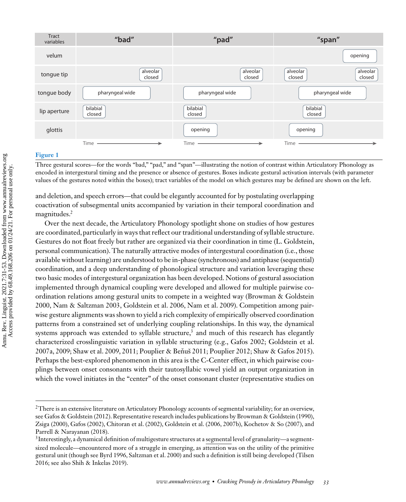

#### **Figure 1**

Three gestural scores—for the words "bad," "pad," and "span"—illustrating the notion of contrast within Articulatory Phonology as encoded in intergestural timing and the presence or absence of gestures. Boxes indicate gestural activation intervals (with parameter values of the gestures noted within the boxes); tract variables of the model on which gestures may be defined are shown on the left.

and deletion, and speech errors—that could be elegantly accounted for by postulating overlapping coactivation of subsegmental units accompanied by variation in their temporal coordination and magnitudes.<sup>2</sup>

Over the next decade, the Articulatory Phonology spotlight shone on studies of how gestures are coordinated, particularly in ways that reflect our traditional understanding of syllable structure. Gestures do not float freely but rather are organized via their coordination in time (L. Goldstein, personal communication). The naturally attractive modes of intergestural coordination (i.e., those available without learning) are understood to be in-phase (synchronous) and antiphase (sequential) coordination, and a deep understanding of phonological structure and variation leveraging these two basic modes of intergestural organization has been developed. Notions of gestural association implemented through dynamical coupling were developed and allowed for multiple pairwise co[ordination relations among gestural units to compete in a weighted way \(Browman & Goldstein](#page-16-0) 2000, [Nam & Saltzman 2003,](#page-20-0) [Goldstein et al. 2006,](#page-18-0) [Nam et al. 2009\)](#page-20-0). Competition among pairwise gesture alignments was shown to yield a rich complexity of empirically observed coordination patterns from a constrained set of underlying coupling relationships. In this way, the dynamical systems approach was extended to syllable structure,<sup>3</sup> and much of this research has elegantly [characterized crosslinguistic variation in syllable structuring \(e.g., Gafos 2002; Goldstein et al.](#page-18-0) 2007a, [2009;](#page-18-0) [Shaw et al. 2009, 2011; Pouplier & Benuš 2011; Pouplier 2012; Shaw & Gafos 2015\)](#page-21-0). Perhaps the best-explored phenomenon in this area is the C-Center effect, in which pairwise couplings between onset consonants with their tautosyllabic vowel yield an output organization in which the vowel initiates in the "center" of the onset consonant cluster (representative studies on

<sup>&</sup>lt;sup>2</sup>There is an extensive literature on Articulatory Phonology accounts of segmental variability; for an overview, see [Gafos & Goldstein \(2012\).](#page-18-0) Representative research includes publications by [Browman & Goldstein \(1990\),](#page-16-0) [Zsiga \(2000\),](#page-22-0) [Gafos \(2002\),](#page-18-0) [Chitoran et al. \(2002\),](#page-17-0) [Goldstein et al. \(2006, 2007b\),](#page-18-0) [Kochetov & So \(2007\),](#page-19-0) and [Parrell & Narayanan \(2018\).](#page-20-0)

 $3$ Interestingly, a dynamical definition of multigesture structures at a segmental level of granularity—a segmentsized molecule—encountered more of a struggle in emerging, as attention was on the utility of the primitive [gestural unit \(though see](#page-22-0) [Byrd 1996](#page-16-0)[,](#page-22-0)[Saltzman](#page-22-0)[et](#page-22-0)[al.](#page-22-0)[2000\) and such a definition is still being developed \(Tilsen](#page-22-0) 2016; see also [Shih & Inkelas 2019\)](#page-21-0).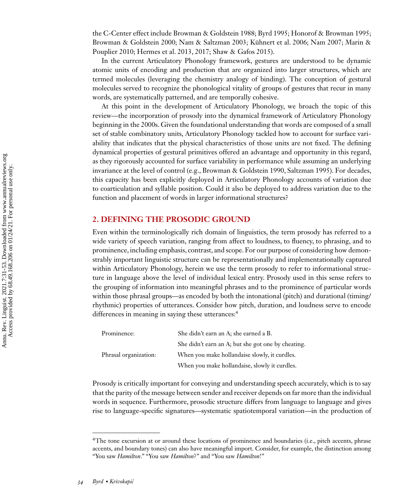the C-Center effect include [Browman & Goldstein 1988; Byrd 1995;](#page-16-0) [Honorof & Browman 1995;](#page-18-0) [Browman](#page-20-0)[&](#page-20-0)[Goldstein](#page-20-0)[2000; Nam & Saltzman 2003;](#page-20-0)[Kühnert](#page-20-0)[et](#page-20-0)[al.](#page-20-0)[2006; Nam 2007; Marin &](#page-20-0) Pouplier 2010; [Hermes et al. 2013, 2017;](#page-18-0) [Shaw & Gafos 2015\)](#page-21-0).

In the current Articulatory Phonology framework, gestures are understood to be dynamic atomic units of encoding and production that are organized into larger structures, which are termed molecules (leveraging the chemistry analogy of binding). The conception of gestural molecules served to recognize the phonological vitality of groups of gestures that recur in many words, are systematically patterned, and are temporally cohesive.

At this point in the development of Articulatory Phonology, we broach the topic of this review—the incorporation of prosody into the dynamical framework of Articulatory Phonology beginning in the 2000s. Given the foundational understanding that words are composed of a small set of stable combinatory units, Articulatory Phonology tackled how to account for surface variability that indicates that the physical characteristics of those units are not fixed. The defining dynamical properties of gestural primitives offered an advantage and opportunity in this regard, as they rigorously accounted for surface variability in performance while assuming an underlying invariance at the level of control (e.g., [Browman & Goldstein 1990,](#page-16-0) [Saltzman 1995\)](#page-21-0). For decades, this capacity has been explicitly deployed in Articulatory Phonology accounts of variation due to coarticulation and syllable position. Could it also be deployed to address variation due to the function and placement of words in larger informational structures?

# **2. DEFINING THE PROSODIC GROUND**

Even within the terminologically rich domain of linguistics, the term prosody has referred to a wide variety of speech variation, ranging from affect to loudness, to fluency, to phrasing, and to prominence, including emphasis, contrast, and scope. For our purpose of considering how demonstrably important linguistic structure can be representationally and implementationally captured within Articulatory Phonology, herein we use the term prosody to refer to informational structure in language above the level of individual lexical entry. Prosody used in this sense refers to the grouping of information into meaningful phrases and to the prominence of particular words within those phrasal groups—as encoded by both the intonational (pitch) and durational (timing/ rhythmic) properties of utterances. Consider how pitch, duration, and loudness serve to encode differences in meaning in saying these utterances:<sup>4</sup>

| Prominence:           | She didn't earn an A; she earned a B.              |
|-----------------------|----------------------------------------------------|
|                       | She didn't earn an A; but she got one by cheating. |
| Phrasal organization: | When you make hollandaise slowly, it curdles.      |
|                       | When you make hollandaise, slowly it curdles.      |

Prosody is critically important for conveying and understanding speech accurately, which is to say that the parity of the message between sender and receiver depends on far more than the individual words in sequence. Furthermore, prosodic structure differs from language to language and gives rise to language-specific signatures—systematic spatiotemporal variation—in the production of

<sup>&</sup>lt;sup>4</sup>The tone excursion at or around these locations of prominence and boundaries (i.e., pitch accents, phrase accents, and boundary tones) can also have meaningful import. Consider, for example, the distinction among "You saw *Hamilton*." "You saw *Hamilton*?" and "You saw *Hamilton*!"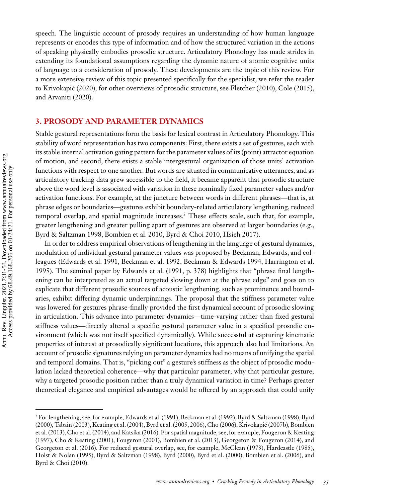speech. The linguistic account of prosody requires an understanding of how human language represents or encodes this type of information and of how the structured variation in the actions of speaking physically embodies prosodic structure. Articulatory Phonology has made strides in extending its foundational assumptions regarding the dynamic nature of atomic cognitive units of language to a consideration of prosody. These developments are the topic of this review. For a more extensive review of this topic presented specifically for the specialist, we refer the reader to [Krivokapic \(2020\);](#page-19-0) for other overviews of prosodic structure, see [Fletcher \(2010\), Cole \(2015\),](#page-17-0) ´ and [Arvaniti \(2020\).](#page-16-0)

# **3. PROSODY AND PARAMETER DYNAMICS**

Stable gestural representations form the basis for lexical contrast in Articulatory Phonology. This stability of word representation has two components: First, there exists a set of gestures, each with its stable internal activation gating pattern for the parameter values of its (point) attractor equation of motion, and second, there exists a stable intergestural organization of those units' activation functions with respect to one another. But words are situated in communicative utterances, and as articulatory tracking data grew accessible to the field, it became apparent that prosodic structure above the word level is associated with variation in these nominally fixed parameter values and/or activation functions. For example, at the juncture between words in different phrases—that is, at phrase edges or boundaries—gestures exhibit boundary-related articulatory lengthening, reduced temporal overlap, and spatial magnitude increases.<sup>5</sup> These effects scale, such that, for example, greater lengthening and greater pulling apart of gestures are observed at larger boundaries (e.g., [Byrd & Saltzman 1998,](#page-17-0) [Bombien et al. 2010,](#page-16-0) [Byrd & Choi 2010,](#page-17-0) [Hsieh 2017\)](#page-18-0).

In order to address empirical observations of lengthening in the language of gestural dynamics, modulation of individual gestural parameter values was proposed by Beckman, Edwards, and col[leagues \(Edwards](#page-18-0)[et](#page-18-0)[al.](#page-18-0)[1991,](#page-18-0)[Beckman](#page-18-0)[et](#page-18-0)[al.](#page-18-0)[1992,](#page-18-0)[Beckman](#page-18-0)[&](#page-18-0)[Edwards](#page-18-0)[1994, Harrington et al.](#page-18-0) 1995). The seminal paper by [Edwards et al. \(1991,](#page-17-0) p. 378) highlights that "phrase final lengthening can be interpreted as an actual targeted slowing down at the phrase edge" and goes on to explicate that different prosodic sources of acoustic lengthening, such as prominence and boundaries, exhibit differing dynamic underpinnings. The proposal that the stiffness parameter value was lowered for gestures phrase-finally provided the first dynamical account of prosodic slowing in articulation. This advance into parameter dynamics—time-varying rather than fixed gestural stiffness values—directly altered a specific gestural parameter value in a specified prosodic environment (which was not itself specified dynamically). While successful at capturing kinematic properties of interest at prosodically significant locations, this approach also had limitations. An account of prosodic signatures relying on parameter dynamics had no means of unifying the spatial and temporal domains. That is, "picking out" a gesture's stiffness as the object of prosodic modulation lacked theoretical coherence—why that particular parameter; why that particular gesture; why a targeted prosodic position rather than a truly dynamical variation in time? Perhaps greater theoretical elegance and empirical advantages would be offered by an approach that could unify

[<sup>5</sup>For lengthening, see, for example,](#page-16-0) [Edwards et al. \(1991](#page-17-0)[\), Beckman et al. \(1992\),](#page-16-0) [Byrd & Saltzman \(1998](#page-17-0)[\), Byrd](#page-16-0) [\(2000\),](#page-16-0) [Tabain \(2003\)](#page-22-0)[,](#page-16-0) [Keating et al. \(2004\)](#page-19-0)[,](#page-16-0) [Byrd et al. \(2005](#page-17-0)[, 2006\),](#page-16-0) [Cho \(2006](#page-17-0)[\),](#page-16-0) [Krivokapic \(2007b](#page-19-0)[\), Bombien](#page-16-0) ´ et al. (2013), [Cho et al. \(2014\),](#page-17-0) and [Katsika \(2016\)](#page-19-0). For spatial magnitude, see, for example, Fougeron & Keating [\(1997\), Cho & Keating \(2001\), Fougeron \(2001\), Bombien et al. \(2013\), Georgeton & Fougeron \(2014\), and](#page-18-0) [Georgeton et al. \(2016\)](#page-18-0). For reduced gestural overlap, see, for example, [McClean \(1973\),](#page-20-0) [Hardcastle \(1985\),](#page-18-0) [Holst & Nolan \(1995\),](#page-18-0) [Byrd & Saltzman \(1998\)](#page-17-0), [Byrd \(2000\)](#page-16-0), [Byrd et al. \(2000\)](#page-17-0), [Bombien et al. \(2006\)](#page-16-0), and [Byrd & Choi \(2010\)](#page-16-0).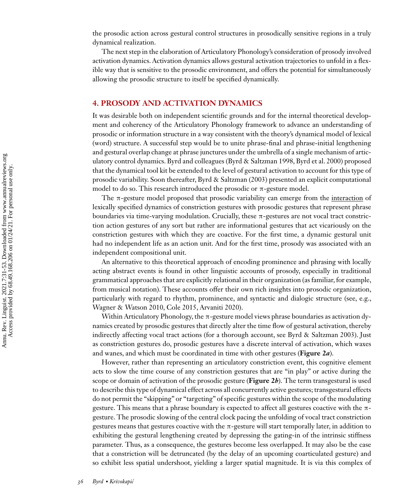the prosodic action across gestural control structures in prosodically sensitive regions in a truly dynamical realization.

The next step in the elaboration of Articulatory Phonology's consideration of prosody involved activation dynamics. Activation dynamics allows gestural activation trajectories to unfold in a flexible way that is sensitive to the prosodic environment, and offers the potential for simultaneously allowing the prosodic structure to itself be specified dynamically.

# **4. PROSODY AND ACTIVATION DYNAMICS**

It was desirable both on independent scientific grounds and for the internal theoretical development and coherency of the Articulatory Phonology framework to advance an understanding of prosodic or information structure in a way consistent with the theory's dynamical model of lexical (word) structure. A successful step would be to unite phrase-final and phrase-initial lengthening and gestural overlap change at phrase junctures under the umbrella of a single mechanism of articulatory control dynamics. Byrd and colleagues [\(Byrd & Saltzman 1998, Byrd et al. 2000\)](#page-17-0) proposed that the dynamical tool kit be extended to the level of gestural activation to account for this type of prosodic variability. Soon thereafter, [Byrd & Saltzman \(2003\)](#page-17-0) presented an explicit computational model to do so. This research introduced the prosodic or  $\pi$ -gesture model.

The π-gesture model proposed that prosodic variability can emerge from the interaction of lexically specified dynamics of constriction gestures with prosodic gestures that represent phrase boundaries via time-varying modulation. Crucially, these π-gestures are not vocal tract constriction action gestures of any sort but rather are informational gestures that act vicariously on the constriction gestures with which they are coactive. For the first time, a dynamic gestural unit had no independent life as an action unit. And for the first time, prosody was associated with an independent compositional unit.

An alternative to this theoretical approach of encoding prominence and phrasing with locally acting abstract events is found in other linguistic accounts of prosody, especially in traditional grammatical approaches that are explicitly relational in their organization (as familiar, for example, from musical notation). These accounts offer their own rich insights into prosodic organization, particularly with regard to rhythm, prominence, and syntactic and dialogic structure (see, e.g., [Wagner & Watson 2010,](#page-22-0) [Cole 2015,](#page-17-0) [Arvaniti 2020\)](#page-16-0).

Within Articulatory Phonology, the  $\pi$ -gesture model views phrase boundaries as activation dynamics created by prosodic gestures that directly alter the time flow of gestural activation, thereby indirectly affecting vocal tract actions (for a thorough account, see [Byrd & Saltzman 2003\)](#page-17-0). Just as constriction gestures do, prosodic gestures have a discrete interval of activation, which waxes and wanes, and which must be coordinated in time with other gestures (**Figure 2***a*).

However, rather than representing an articulatory constriction event, this cognitive element acts to slow the time course of any constriction gestures that are "in play" or active during the scope or domain of activation of the prosodic gesture (**Figure 2***b*). The term transgestural is used to describe this type of dynamical effect across all concurrently active gestures; transgestural effects do not permit the "skipping" or "targeting" of specific gestures within the scope of the modulating gesture. This means that a phrase boundary is expected to affect all gestures coactive with the  $\pi$ gesture. The prosodic slowing of the central clock pacing the unfolding of vocal tract constriction gestures means that gestures coactive with the  $\pi$ -gesture will start temporally later, in addition to exhibiting the gestural lengthening created by depressing the gating-in of the intrinsic stiffness parameter. Thus, as a consequence, the gestures become less overlapped. It may also be the case that a constriction will be detruncated (by the delay of an upcoming coarticulated gesture) and so exhibit less spatial undershoot, yielding a larger spatial magnitude. It is via this complex of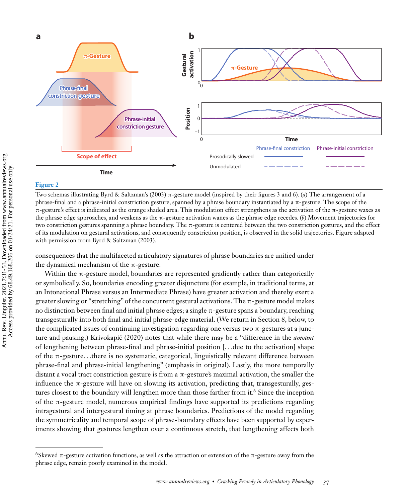

#### **Figure 2**

Two schemas illustrating Byrd & Saltzman's [\(2003\)](#page-17-0) π-gesture model (inspired by their figures 3 and 6). (*a*) The arrangement of a phrase-final and a phrase-initial constriction gesture, spanned by a phrase boundary instantiated by a  $\pi$ -gesture. The scope of the π-gesture's effect is indicated as the orange shaded area. This modulation effect strengthens as the activation of the π-gesture waxes as the phrase edge approaches, and weakens as the π-gesture activation wanes as the phrase edge recedes. (*b*) Movement trajectories for two constriction gestures spanning a phrase boundary. The π-gesture is centered between the two constriction gestures, and the effect of its modulation on gestural activations, and consequently constriction position, is observed in the solid trajectories. Figure adapted with permission from [Byrd & Saltzman \(2003\).](#page-17-0)

consequences that the multifaceted articulatory signatures of phrase boundaries are unified under the dynamical mechanism of the  $\pi$ -gesture.

Within the  $\pi$ -gesture model, boundaries are represented gradiently rather than categorically or symbolically. So, boundaries encoding greater disjuncture (for example, in traditional terms, at an Intonational Phrase versus an Intermediate Phrase) have greater activation and thereby exert a greater slowing or "stretching" of the concurrent gestural activations. The π-gesture model makes no distinction between final and initial phrase edges; a single π-gesture spans a boundary, reaching transgesturally into both final and initial phrase-edge material. (We return in Section 8, below, to the complicated issues of continuing investigation regarding one versus two  $\pi$ -gestures at a junc-ture and pausing.) [Krivokapic \(2020\)](#page-19-0) notes that while there may be a "difference in the *amount* of lengthening between phrase-final and phrase-initial position [*...*due to the activation] shape of the π-gesture*...*there is no systematic, categorical, linguistically relevant difference between phrase-final and phrase-initial lengthening" (emphasis in original). Lastly, the more temporally distant a vocal tract constriction gesture is from a  $\pi$ -gesture's maximal activation, the smaller the influence the  $\pi$ -gesture will have on slowing its activation, predicting that, transgesturally, gestures closest to the boundary will lengthen more than those farther from it.<sup>6</sup> Since the inception of the π-gesture model, numerous empirical findings have supported its predictions regarding intragestural and intergestural timing at phrase boundaries. Predictions of the model regarding the symmetricality and temporal scope of phrase-boundary effects have been supported by experiments showing that gestures lengthen over a continuous stretch, that lengthening affects both

<sup>6</sup>Skewed π-gesture activation functions, as well as the attraction or extension of the π-gesture away from the phrase edge, remain poorly examined in the model.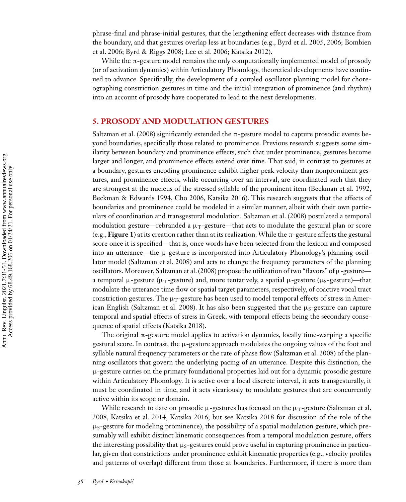phrase-final and phrase-initial gestures, that the lengthening effect decreases with distance from [the boundary, and that gestures overlap less at boundaries \(e.g.,](#page-16-0) [Byrd et al. 2005](#page-17-0)[,](#page-16-0)[2006; Bombien](#page-16-0) et al. 2006; [Byrd & Riggs 2008;](#page-17-0) [Lee et al. 2006;](#page-20-0) [Katsika 2012\)](#page-19-0).

While the π-gesture model remains the only computationally implemented model of prosody (or of activation dynamics) within Articulatory Phonology, theoretical developments have continued to advance. Specifically, the development of a coupled oscillator planning model for choreographing constriction gestures in time and the initial integration of prominence (and rhythm) into an account of prosody have cooperated to lead to the next developments.

# **5. PROSODY AND MODULATION GESTURES**

[Saltzman et al. \(2008\)](#page-21-0) significantly extended the  $\pi$ -gesture model to capture prosodic events beyond boundaries, specifically those related to prominence. Previous research suggests some similarity between boundary and prominence effects, such that under prominence, gestures become larger and longer, and prominence effects extend over time. That said, in contrast to gestures at a boundary, gestures encoding prominence exhibit higher peak velocity than nonprominent gestures, and prominence effects, while occurring over an interval, are coordinated such that they are strongest at the nucleus of the stressed syllable of the prominent item [\(Beckman et al. 1992,](#page-16-0) [Beckman & Edwards 1994,](#page-16-0) [Cho 2006,](#page-17-0) [Katsika 2016\)](#page-19-0). This research suggests that the effects of boundaries and prominence could be modeled in a similar manner, albeit with their own particulars of coordination and transgestural modulation. [Saltzman et al. \(2008\)](#page-21-0) postulated a temporal modulation gesture—rebranded a  $\mu_T$ -gesture—that acts to modulate the gestural plan or score (e.g.,**Figure 1**) at its creation rather than at its realization.While the π-gesture affects the gestural score once it is specified—that is, once words have been selected from the lexicon and composed into an utterance—the μ-gesture is incorporated into Articulatory Phonology's planning oscillator model [\(Saltzman et al. 2008\)](#page-21-0) and acts to change the frequency parameters of the planning oscillators.Moreover, [Saltzman et al. \(2008\)](#page-21-0) propose the utilization of two "flavors" of μ-gesture a temporal  $\mu$ -gesture ( $\mu_T$ -gesture) and, more tentatively, a spatial  $\mu$ -gesture ( $\mu_S$ -gesture)—that modulate the utterance time flow or spatial target parameters, respectively, of coactive vocal tract constriction gestures. The  $\mu_T$ -gesture has been used to model temporal effects of stress in Amer-ican English [\(Saltzman et al. 2008\)](#page-21-0). It has also been suggested that the  $\mu<sub>S</sub>$ -gesture can capture temporal and spatial effects of stress in Greek, with temporal effects being the secondary consequence of spatial effects [\(Katsika 2018\)](#page-19-0).

The original  $\pi$ -gesture model applies to activation dynamics, locally time-warping a specific gestural score. In contrast, the μ-gesture approach modulates the ongoing values of the foot and syllable natural frequency parameters or the rate of phase flow [\(Saltzman et al. 2008\)](#page-21-0) of the planning oscillators that govern the underlying pacing of an utterance. Despite this distinction, the  $\mu$ -gesture carries on the primary foundational properties laid out for a dynamic prosodic gesture within Articulatory Phonology. It is active over a local discrete interval, it acts transgesturally, it must be coordinated in time, and it acts vicariously to modulate gestures that are concurrently active within its scope or domain.

While research to date on prosodic  $\mu$ -gestures has focused on the  $\mu_T$ -gesture (Saltzman et al. [2008, Katsika et al. 2014, Katsika 2016; but see Katsika 2018 for discussion of the role of the](#page-21-0)  $\mu$ <sub>S</sub>-gesture for modeling prominence), the possibility of a spatial modulation gesture, which presumably will exhibit distinct kinematic consequences from a temporal modulation gesture, offers the interesting possibility that  $\mu_s$ -gestures could prove useful in capturing prominence in particular, given that constrictions under prominence exhibit kinematic properties (e.g., velocity profiles and patterns of overlap) different from those at boundaries. Furthermore, if there is more than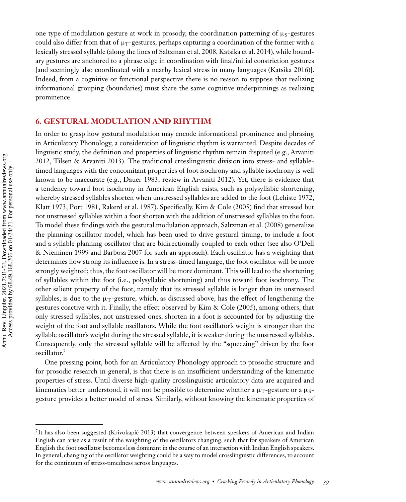one type of modulation gesture at work in prosody, the coordination patterning of  $\mu_s$ -gestures could also differ from that of  $\mu_T$ -gestures, perhaps capturing a coordination of the former with a lexically stressed syllable (along the lines of [Saltzman et al. 2008,](#page-21-0) [Katsika et al. 2014\)](#page-19-0), while boundary gestures are anchored to a phrase edge in coordination with final/initial constriction gestures [and seemingly also coordinated with a nearby lexical stress in many languages [\(Katsika 2016\)](#page-19-0)]. Indeed, from a cognitive or functional perspective there is no reason to suppose that realizing informational grouping (boundaries) must share the same cognitive underpinnings as realizing prominence.

# **6. GESTURAL MODULATION AND RHYTHM**

In order to grasp how gestural modulation may encode informational prominence and phrasing in Articulatory Phonology, a consideration of linguistic rhythm is warranted. Despite decades of [linguistic study, the definition and properties of linguistic rhythm remain disputed \(e.g., Arvaniti](#page-16-0) 2012, [Tilsen & Arvaniti 2013\)](#page-22-0). The traditional crosslinguistic division into stress- and syllabletimed languages with the concomitant properties of foot isochrony and syllable isochrony is well known to be inaccurate (e.g., [Dauer 1983;](#page-17-0) review in [Arvaniti 2012\)](#page-16-0). Yet, there is evidence that a tendency toward foot isochrony in American English exists, such as polysyllabic shortening, whereby stressed syllables shorten when unstressed syllables are added to the foot [\(Lehiste 1972,](#page-20-0) [Klatt 1973,](#page-19-0) [Port 1981, Rakerd et al. 1987\)](#page-21-0). Specifically, [Kim & Cole \(2005\)](#page-19-0) find that stressed but not unstressed syllables within a foot shorten with the addition of unstressed syllables to the foot. To model these findings with the gestural modulation approach, [Saltzman et al. \(2008\)](#page-21-0) generalize the planning oscillator model, which has been used to drive gestural timing, to include a foot [and a syllable planning oscillator that are bidirectionally coupled to each other \(see also O'Dell](#page-20-0) & Nieminen 1999 and [Barbosa 2007](#page-16-0) for such an approach). Each oscillator has a weighting that determines how strong its influence is. In a stress-timed language, the foot oscillator will be more strongly weighted; thus, the foot oscillator will be more dominant. This will lead to the shortening of syllables within the foot (i.e., polysyllabic shortening) and thus toward foot isochrony. The other salient property of the foot, namely that its stressed syllable is longer than its unstressed syllables, is due to the  $\mu_T$ -gesture, which, as discussed above, has the effect of lengthening the gestures coactive with it. Finally, the effect observed by [Kim & Cole \(2005\),](#page-19-0) among others, that only stressed syllables, not unstressed ones, shorten in a foot is accounted for by adjusting the weight of the foot and syllable oscillators. While the foot oscillator's weight is stronger than the syllable oscillator's weight during the stressed syllable, it is weaker during the unstressed syllables. Consequently, only the stressed syllable will be affected by the "squeezing" driven by the foot oscillator.7

One pressing point, both for an Articulatory Phonology approach to prosodic structure and for prosodic research in general, is that there is an insufficient understanding of the kinematic properties of stress. Until diverse high-quality crosslinguistic articulatory data are acquired and kinematics better understood, it will not be possible to determine whether a  $\mu_T$ -gesture or a  $\mu_S$ gesture provides a better model of stress. Similarly, without knowing the kinematic properties of

 ${}^{7}$ It has also been suggested (Krivokapić 2013) that convergence between speakers of American and Indian English can arise as a result of the weighting of the oscillators changing, such that for speakers of American English the foot oscillator becomes less dominant in the course of an interaction with Indian English speakers. In general, changing of the oscillator weighting could be a way to model crosslinguistic differences, to account for the continuum of stress-timedness across languages.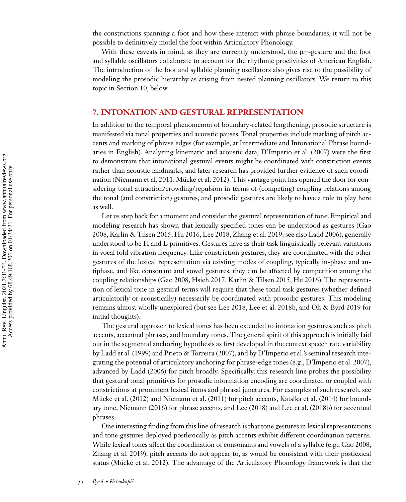the constrictions spanning a foot and how these interact with phrase boundaries, it will not be possible to definitively model the foot within Articulatory Phonology.

With these caveats in mind, as they are currently understood, the  $\mu_T$ -gesture and the foot and syllable oscillators collaborate to account for the rhythmic proclivities of American English. The introduction of the foot and syllable planning oscillators also gives rise to the possibility of modeling the prosodic hierarchy as arising from nested planning oscillators. We return to this topic in Section 10, below.

## **7. INTONATION AND GESTURAL REPRESENTATION**

In addition to the temporal phenomenon of boundary-related lengthening, prosodic structure is manifested via tonal properties and acoustic pauses. Tonal properties include marking of pitch accents and marking of phrase edges (for example, at Intermediate and Intonational Phrase boundaries in English). Analyzing kinematic and acoustic data, [D'Imperio et al. \(2007\)](#page-17-0) were the first to demonstrate that intonational gestural events might be coordinated with constriction events rather than acoustic landmarks, and later research has provided further evidence of such coordination [\(Niemann et al. 2011, Mücke et al. 2012\)](#page-20-0). This vantage point has opened the door for considering tonal attraction/crowding/repulsion in terms of (competing) coupling relations among the tonal (and constriction) gestures, and prosodic gestures are likely to have a role to play here as well.

Let us step back for a moment and consider the gestural representation of tone. Empirical and [modeling research has shown that lexically specified tones can be understood as gestures \(Gao](#page-18-0) 2008, [Karlin & Tilsen 2015,](#page-19-0) [Hu 2016,](#page-18-0) [Lee 2018,](#page-20-0) [Zhang et al. 2019;](#page-22-0) see also [Ladd 2006\)](#page-19-0), generally understood to be H and L primitives. Gestures have as their task linguistically relevant variations in vocal fold vibration frequency. Like constriction gestures, they are coordinated with the other gestures of the lexical representation via existing modes of coupling, typically in-phase and antiphase, and like consonant and vowel gestures, they can be affected by competition among the coupling relationships [\(Gao 2008, Hsieh 2017,](#page-18-0) [Karlin & Tilsen 2015,](#page-19-0) [Hu 2016\)](#page-18-0). The representation of lexical tone in gestural terms will require that these tonal task gestures (whether defined articulatorily or acoustically) necessarily be coordinated with prosodic gestures. This modeling remains almost wholly unexplored (but see [Lee 2018, Lee et al. 2018b,](#page-20-0) and [Oh & Byrd 2019](#page-20-0) for initial thoughts).

The gestural approach to lexical tones has been extended to intonation gestures, such as pitch accents, accentual phrases, and boundary tones. The general spirit of this approach is initially laid out in the segmental anchoring hypothesis as first developed in the context speech rate variability by [Ladd et al. \(1999\)](#page-19-0) and [Prieto & Torreira \(2007\),](#page-21-0) and by D'Imperio et al.'s seminal research integrating the potential of articulatory anchoring for phrase-edge tones (e.g., [D'Imperio et al. 2007\)](#page-17-0), advanced by [Ladd \(2006\)](#page-19-0) for pitch broadly. Specifically, this research line probes the possibility that gestural tonal primitives for prosodic information encoding are coordinated or coupled with constrictions at prominent lexical items and phrasal junctures. For examples of such research, see [Mücke et al. \(2012\)](#page-20-0) and [Niemann et al. \(2011\)](#page-20-0) for pitch accents, [Katsika et al. \(2014\)](#page-19-0) for boundary tone, [Niemann \(2016\)](#page-20-0) for phrase accents, and [Lee \(2018\)](#page-20-0) and [Lee et al. \(2018b\)](#page-20-0) for accentual phrases.

One interesting finding from this line of research is that tone gestures in lexical representations and tone gestures deployed postlexically as pitch accents exhibit different coordination patterns. While lexical tones affect the coordination of consonants and vowels of a syllable (e.g., [Gao 2008,](#page-18-0) [Zhang et al. 2019\)](#page-22-0), pitch accents do not appear to, as would be consistent with their postlexical status [\(Mücke et al. 2012\)](#page-20-0). The advantage of the Articulatory Phonology framework is that the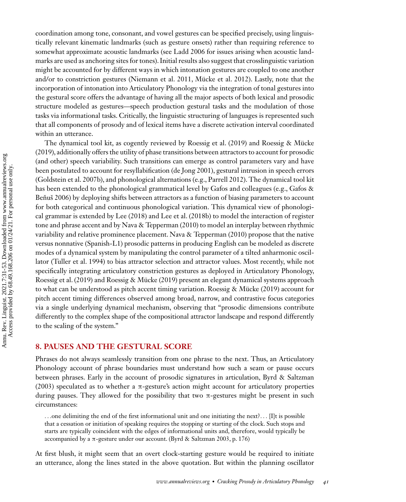coordination among tone, consonant, and vowel gestures can be specified precisely, using linguistically relevant kinematic landmarks (such as gesture onsets) rather than requiring reference to somewhat approximate acoustic landmarks (see [Ladd 2006](#page-19-0) for issues arising when acoustic landmarks are used as anchoring sites for tones). Initial results also suggest that crosslinguistic variation might be accounted for by different ways in which intonation gestures are coupled to one another and/or to constriction gestures [\(Niemann et al. 2011, Mücke et al. 2012\)](#page-20-0). Lastly, note that the incorporation of intonation into Articulatory Phonology via the integration of tonal gestures into the gestural score offers the advantage of having all the major aspects of both lexical and prosodic structure modeled as gestures—speech production gestural tasks and the modulation of those tasks via informational tasks. Critically, the linguistic structuring of languages is represented such that all components of prosody and of lexical items have a discrete activation interval coordinated within an utterance.

The dynamical tool kit, as cogently reviewed by [Roessig et al. \(2019\)](#page-21-0) and Roessig & Mücke [\(2019\)](#page-21-0), additionally offers the utility of phase transitions between attractors to account for prosodic (and other) speech variability. Such transitions can emerge as control parameters vary and have been postulated to account for resyllabification [\(de Jong 2001\)](#page-17-0), gestural intrusion in speech errors [\(Goldstein et al. 2007b\)](#page-18-0), and phonological alternations (e.g., [Parrell 2012\)](#page-20-0). The dynamical tool kit [has been extended to the phonological grammatical level by Gafos and colleagues \(e.g., Gafos &](#page-18-0) Benus 2006) by deploying shifts between attractors as a function of biasing parameters to account for both categorical and continuous phonological variation. This dynamical view of phonological grammar is extended by [Lee \(2018\)](#page-20-0) and [Lee et al. \(2018b\)](#page-20-0) to model the interaction of register tone and phrase accent and by [Nava & Tepperman \(2010\)](#page-20-0) to model an interplay between rhythmic variability and relative prominence placement. [Nava & Tepperman \(2010\)](#page-20-0) propose that the native versus nonnative (Spanish-L1) prosodic patterns in producing English can be modeled as discrete modes of a dynamical system by manipulating the control parameter of a tilted anharmonic oscillator [\(Tuller et al. 1994\)](#page-22-0) to bias attractor selection and attractor values. Most recently, while not specifically integrating articulatory constriction gestures as deployed in Articulatory Phonology, [Roessig et al. \(2019\)](#page-21-0) and [Roessig & Mücke \(2019\)](#page-21-0) present an elegant dynamical systems approach to what can be understood as pitch accent timing variation. [Roessig & Mücke \(2019\)](#page-21-0) account for pitch accent timing differences observed among broad, narrow, and contrastive focus categories via a single underlying dynamical mechanism, observing that "prosodic dimensions contribute differently to the complex shape of the compositional attractor landscape and respond differently to the scaling of the system."

#### **8. PAUSES AND THE GESTURAL SCORE**

Phrases do not always seamlessly transition from one phrase to the next. Thus, an Articulatory Phonology account of phrase boundaries must understand how such a seam or pause occurs [between phrases. Early in the account of prosodic signatures in articulation, Byrd & Saltzman](#page-17-0) (2003) speculated as to whether a  $\pi$ -gesture's action might account for articulatory properties during pauses. They allowed for the possibility that two  $\pi$ -gestures might be present in such circumstances:

*...*one delimiting the end of the first informational unit and one initiating the next?*...* [I]t is possible that a cessation or initiation of speaking requires the stopping or starting of the clock. Such stops and starts are typically coincident with the edges of informational units and, therefore, would typically be accompanied by a π-gesture under our account. [\(Byrd & Saltzman 2003,](#page-17-0) p. 176)

At first blush, it might seem that an overt clock-starting gesture would be required to initiate an utterance, along the lines stated in the above quotation. But within the planning oscillator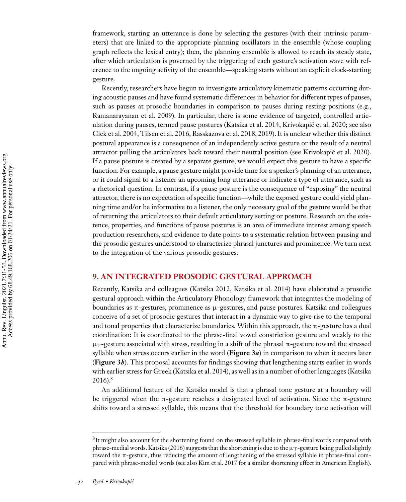framework, starting an utterance is done by selecting the gestures (with their intrinsic parameters) that are linked to the appropriate planning oscillators in the ensemble (whose coupling graph reflects the lexical entry); then, the planning ensemble is allowed to reach its steady state, after which articulation is governed by the triggering of each gesture's activation wave with reference to the ongoing activity of the ensemble—speaking starts without an explicit clock-starting gesture.

Recently, researchers have begun to investigate articulatory kinematic patterns occurring during acoustic pauses and have found systematic differences in behavior for different types of pauses, such as pauses at prosodic boundaries in comparison to pauses during resting positions (e.g., [Ramanarayanan et al. 2009\)](#page-21-0). In particular, there is some evidence of targeted, controlled articulation during pauses, termed pause postures [\(Katsika et al. 2014, Krivokapic et al. 2020;](#page-19-0) see also ´ [Gick et al. 2004,](#page-18-0) [Tilsen et al. 2016,](#page-22-0) [Rasskazova et al. 2018, 2019\)](#page-21-0). It is unclear whether this distinct postural appearance is a consequence of an independently active gesture or the result of a neutral attractor pulling the articulators back toward their neutral position (see [Krivokapic et al. 2020\)](#page-19-0). ´ If a pause posture is created by a separate gesture, we would expect this gesture to have a specific function. For example, a pause gesture might provide time for a speaker's planning of an utterance, or it could signal to a listener an upcoming long utterance or indicate a type of utterance, such as a rhetorical question. In contrast, if a pause posture is the consequence of "exposing" the neutral attractor, there is no expectation of specific function—while the exposed gesture could yield planning time and/or be informative to a listener, the only necessary goal of the gesture would be that of returning the articulators to their default articulatory setting or posture. Research on the existence, properties, and functions of pause postures is an area of immediate interest among speech production researchers, and evidence to date points to a systematic relation between pausing and the prosodic gestures understood to characterize phrasal junctures and prominence. We turn next to the integration of the various prosodic gestures.

#### **9. AN INTEGRATED PROSODIC GESTURAL APPROACH**

Recently, Katsika and colleagues [\(Katsika 2012, Katsika et al. 2014\)](#page-19-0) have elaborated a prosodic gestural approach within the Articulatory Phonology framework that integrates the modeling of boundaries as π-gestures, prominence as μ-gestures, and pause postures. Katsika and colleagues conceive of a set of prosodic gestures that interact in a dynamic way to give rise to the temporal and tonal properties that characterize boundaries. Within this approach, the  $\pi$ -gesture has a dual coordination: It is coordinated to the phrase-final vowel constriction gesture and weakly to the  $\mu_{\rm T}$ -gesture associated with stress, resulting in a shift of the phrasal  $\pi$ -gesture toward the stressed syllable when stress occurs earlier in the word (**Figure 3***a*) in comparison to when it occurs later (**Figure 3***b*). This proposal accounts for findings showing that lengthening starts earlier in words [with earlier stress for Greek \(Katsika et al. 2014\), as well as in a number of other languages \(Katsika](#page-19-0) 2016).8

An additional feature of the Katsika model is that a phrasal tone gesture at a boundary will be triggered when the π-gesture reaches a designated level of activation. Since the π-gesture shifts toward a stressed syllable, this means that the threshold for boundary tone activation will

<sup>8</sup>It might also account for the shortening found on the stressed syllable in phrase-final words compared with phrase-medial words. [Katsika \(2016\)](#page-19-0) suggests that the shortening is due to the  $\mu_T$ -gesture being pulled slightly toward the π-gesture, thus reducing the amount of lengthening of the stressed syllable in phrase-final compared with phrase-medial words (see also [Kim et al. 2017](#page-19-0) for a similar shortening effect in American English).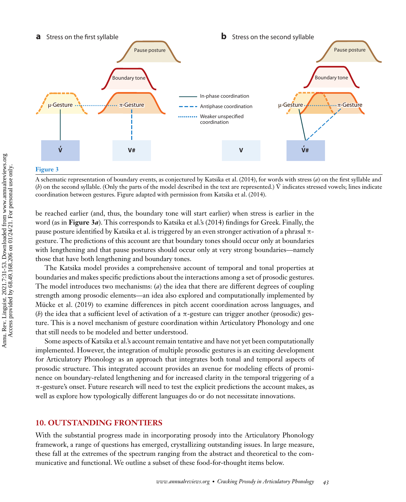

#### **Figure 3**

A schematic representation of boundary events, as conjectured by [Katsika et al. \(2014\),](#page-19-0) for words with stress (*a*) on the first syllable and (*b*) on the second syllable. (Only the parts of the model described in the text are represented.) V indicates stressed vowels; lines indicate ´ coordination between gestures. Figure adapted with permission from [Katsika et al. \(2014\).](#page-19-0)

be reached earlier (and, thus, the boundary tone will start earlier) when stress is earlier in the word (as in **Figure 3***a*). This corresponds to Katsika et al.'s [\(2014\)](#page-19-0) findings for Greek. Finally, the pause posture identified by Katsika et al. is triggered by an even stronger activation of a phrasal πgesture. The predictions of this account are that boundary tones should occur only at boundaries with lengthening and that pause postures should occur only at very strong boundaries—namely those that have both lengthening and boundary tones.

The Katsika model provides a comprehensive account of temporal and tonal properties at boundaries and makes specific predictions about the interactions among a set of prosodic gestures. The model introduces two mechanisms: (*a*) the idea that there are different degrees of coupling strength among prosodic elements—an idea also explored and computationally implemented by [Mücke et al. \(2019\)](#page-20-0) to examine differences in pitch accent coordination across languages, and (*b*) the idea that a sufficient level of activation of a  $\pi$ -gesture can trigger another (prosodic) gesture. This is a novel mechanism of gesture coordination within Articulatory Phonology and one that still needs to be modeled and better understood.

Some aspects of Katsika et al.'s account remain tentative and have not yet been computationally implemented. However, the integration of multiple prosodic gestures is an exciting development for Articulatory Phonology as an approach that integrates both tonal and temporal aspects of prosodic structure. This integrated account provides an avenue for modeling effects of prominence on boundary-related lengthening and for increased clarity in the temporal triggering of a π-gesture's onset. Future research will need to test the explicit predictions the account makes, as well as explore how typologically different languages do or do not necessitate innovations.

### **10. OUTSTANDING FRONTIERS**

With the substantial progress made in incorporating prosody into the Articulatory Phonology framework, a range of questions has emerged, crystallizing outstanding issues. In large measure, these fall at the extremes of the spectrum ranging from the abstract and theoretical to the communicative and functional. We outline a subset of these food-for-thought items below.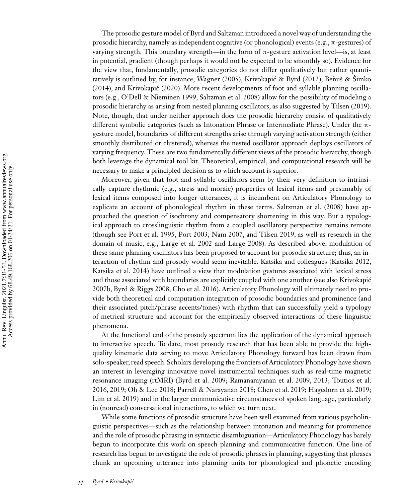The prosodic gesture model of Byrd and Saltzman introduced a novel way of understanding the prosodic hierarchy, namely as independent cognitive (or phonological) events (e.g.,  $\pi$ -gestures) of varying strength. This boundary strength—in the form of π-gesture activation level—is, at least in potential, gradient (though perhaps it would not be expected to be smoothly so). Evidence for the view that, fundamentally, prosodic categories do not differ qualitatively but rather quanti-tatively is outlined by, for instance, [Wagner \(2005\),](#page-22-0) Krivokapić & Byrd (2012), Beňuš & Šimko [\(2014\), and Krivokapic \(2020\). More recent developments of foot and syllable planning oscilla-](#page-16-0) ´ tors (e.g., [O'Dell & Nieminen 1999,](#page-20-0) [Saltzman et al. 2008\)](#page-21-0) allow for the possibility of modeling a prosodic hierarchy as arising from nested planning oscillators, as also suggested by [Tilsen \(2019\).](#page-22-0) Note, though, that under neither approach does the prosodic hierarchy consist of qualitatively different symbolic categories (such as Intonation Phrase or Intermediate Phrase). Under the πgesture model, boundaries of different strengths arise through varying activation strength (either smoothly distributed or clustered), whereas the nested oscillator approach deploys oscillators of varying frequency. These are two fundamentally different views of the prosodic hierarchy, though both leverage the dynamical tool kit. Theoretical, empirical, and computational research will be necessary to make a principled decision as to which account is superior.

Moreover, given that foot and syllable oscillators seem by their very definition to intrinsically capture rhythmic (e.g., stress and moraic) properties of lexical items and presumably of lexical items composed into longer utterances, it is incumbent on Articulatory Phonology to explicate an account of phonological rhythm in these terms. [Saltzman et al. \(2008\)](#page-21-0) have approached the question of isochrony and compensatory shortening in this way. But a typological approach to crosslinguistic rhythm from a coupled oscillatory perspective remains remote (though see [Port et al. 1995, Port 2003,](#page-21-0) [Nam 2007,](#page-20-0) and [Tilsen 2019,](#page-22-0) as well as research in the domain of music, e.g., [Large et al. 2002](#page-20-0) and [Large 2008\)](#page-20-0). As described above, modulation of these same planning oscillators has been proposed to account for prosodic structure; thus, an interaction of rhythm and prosody would seem inevitable. Katsika and colleagues [\(Katsika 2012,](#page-19-0) [Katsika et al. 2014\)](#page-19-0) have outlined a view that modulation gestures associated with lexical stress [and those associated with boundaries are explicitly coupled with one another \(see also Krivokapic´](#page-19-0) 2007b, [Byrd & Riggs 2008, Cho et al. 2016\)](#page-17-0). Articulatory Phonology will ultimately need to provide both theoretical and computation integration of prosodic boundaries and prominence (and their associated pitch/phrase accents/tones) with rhythm that can successfully yield a typology of metrical structure and account for the empirically observed interactions of these linguistic phenomena.

At the functional end of the prosody spectrum lies the application of the dynamical approach to interactive speech. To date, most prosody research that has been able to provide the highquality kinematic data serving to move Articulatory Phonology forward has been drawn from solo-speaker, read speech. Scholars developing the frontiers of Articulatory Phonology have shown an interest in leveraging innovative novel instrumental techniques such as real-time magnetic [resonance imaging \(rtMRI\) \(](#page-22-0)[Byrd et al. 2009](#page-17-0)[;](#page-22-0) [Ramanarayanan et al. 2009](#page-21-0)[, 2013; Toutios et al.](#page-22-0) 2016, [2019;](#page-22-0) [Oh & Lee 2018; Parrell & Narayanan 2018;](#page-20-0) [Chen et al. 2019;](#page-17-0) [Hagedorn et al. 2019;](#page-18-0) [Lim et al. 2019\)](#page-20-0) and in the larger communicative circumstances of spoken language, particularly in (nonread) conversational interactions, to which we turn next.

While some functions of prosodic structure have been well examined from various psycholinguistic perspectives—such as the relationship between intonation and meaning for prominence and the role of prosodic phrasing in syntactic disambiguation—Articulatory Phonology has barely begun to incorporate this work on speech planning and communicative function. One line of research has begun to investigate the role of prosodic phrases in planning, suggesting that phrases chunk an upcoming utterance into planning units for phonological and phonetic encoding

Amu. Rev. Linguist. 2021.7:31-53. Downloaded from www.annualreviews.org<br>Access provided by 68.49.168.206 on 01/24/21. For personal use only. Annu. Rev. Linguist. 2021.7:31-53. Downloaded from www.annualreviews.org Access provided by 68.49.168.206 on 01/24/21. For personal use only.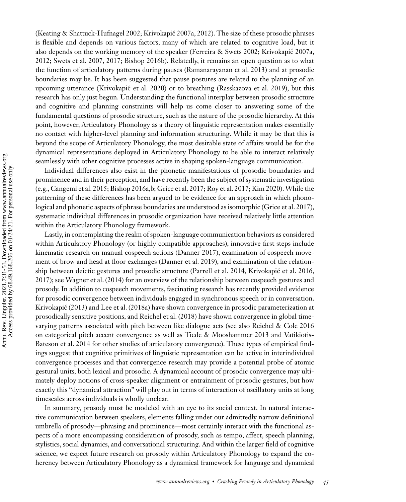[\(Keating & Shattuck-Hufnagel 2002; Krivokapic 2007a, 2012\)](#page-19-0). The size of these prosodic phrases ´ is flexible and depends on various factors, many of which are related to cognitive load, but it also depends on the working memory of the speaker [\(Ferreira & Swets 2002;](#page-17-0) [Krivokapic 2007a,](#page-19-0) ´ [2012;](#page-19-0) [Swets et al. 2007,](#page-21-0) [2017;](#page-22-0) [Bishop 2016b\)](#page-16-0). Relatedly, it remains an open question as to what the function of articulatory patterns during pauses [\(Ramanarayanan et al. 2013\)](#page-21-0) and at prosodic boundaries may be. It has been suggested that pause postures are related to the planning of an upcoming utterance [\(Krivokapic et al. 2020\)](#page-19-0) or to breathing [\(Rasskazova et al. 2019\)](#page-21-0), but this ´ research has only just begun. Understanding the functional interplay between prosodic structure and cognitive and planning constraints will help us come closer to answering some of the fundamental questions of prosodic structure, such as the nature of the prosodic hierarchy. At this point, however, Articulatory Phonology as a theory of linguistic representation makes essentially no contact with higher-level planning and information structuring. While it may be that this is beyond the scope of Articulatory Phonology, the most desirable state of affairs would be for the dynamical representations deployed in Articulatory Phonology to be able to interact relatively seamlessly with other cognitive processes active in shaping spoken-language communication.

Individual differences also exist in the phonetic manifestations of prosodic boundaries and prominence and in their perception, and have recently been the subject of systematic investigation (e.g., [Cangemi et al. 2015;](#page-17-0) [Bishop 2016a,b;](#page-16-0) [Grice et al. 2017;](#page-18-0) [Roy et al. 2017;](#page-21-0) [Kim 2020\)](#page-19-0).While the patterning of these differences has been argued to be evidence for an approach in which phonological and phonetic aspects of phrase boundaries are understood as isomorphic [\(Grice et al. 2017\)](#page-18-0), systematic individual differences in prosodic organization have received relatively little attention within the Articulatory Phonology framework.

Lastly, in contemplating the realm of spoken-language communication behaviors as considered within Articulatory Phonology (or highly compatible approaches), innovative first steps include kinematic research on manual cospeech actions [\(Danner 2017\)](#page-17-0), examination of cospeech movement of brow and head at floor exchanges [\(Danner et al. 2019\)](#page-17-0), and examination of the relationship between deictic gestures and prosodic structure [\(Parrell et al. 2014,](#page-20-0) [Krivokapic et al. 2016,](#page-19-0) ´ [2017\)](#page-19-0); see [Wagner et al. \(2014\)](#page-22-0) for an overview of the relationship between cospeech gestures and prosody. In addition to cospeech movements, fascinating research has recently provided evidence for prosodic convergence between individuals engaged in synchronous speech or in conversation. [Krivokapic \(2013\)](#page-19-0) and [Lee et al. \(2018a\)](#page-20-0) have shown convergence in prosodic parameterization at ´ prosodically sensitive positions, and [Reichel et al. \(2018\)](#page-21-0) have shown convergence in global timevarying patterns associated with pitch between like dialogue acts (see also [Reichel & Cole 2016](#page-21-0) [on categorical pitch accent convergence as well as Tiede & Mooshammer 2013 and Vatikiotis-](#page-22-0)Bateson et al. 2014 for other studies of articulatory convergence). These types of empirical findings suggest that cognitive primitives of linguistic representation can be active in interindividual convergence processes and that convergence research may provide a potential probe of atomic gestural units, both lexical and prosodic. A dynamical account of prosodic convergence may ultimately deploy notions of cross-speaker alignment or entrainment of prosodic gestures, but how exactly this "dynamical attraction" will play out in terms of interaction of oscillatory units at long timescales across individuals is wholly unclear.

In summary, prosody must be modeled with an eye to its social context. In natural interactive communication between speakers, elements falling under our admittedly narrow definitional umbrella of prosody—phrasing and prominence—most certainly interact with the functional aspects of a more encompassing consideration of prosody, such as tempo, affect, speech planning, stylistics, social dynamics, and conversational structuring. And within the larger field of cognitive science, we expect future research on prosody within Articulatory Phonology to expand the coherency between Articulatory Phonology as a dynamical framework for language and dynamical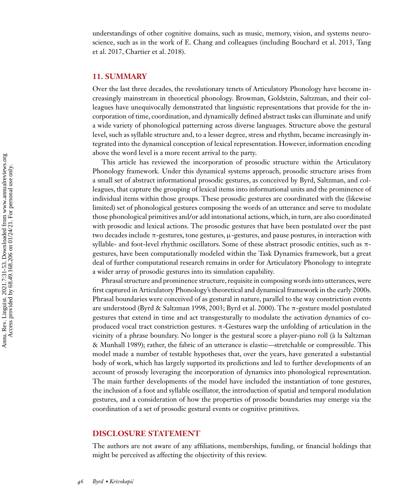understandings of other cognitive domains, such as music, memory, vision, and systems neuro[science, such as in the work of E. Chang and colleagues \(including](#page-22-0)[Bouchard](#page-22-0)[et](#page-22-0)[al.](#page-22-0)[2013, Tang](#page-22-0) et al. 2017, [Chartier et al. 2018\)](#page-17-0).

#### **11. SUMMARY**

Over the last three decades, the revolutionary tenets of Articulatory Phonology have become increasingly mainstream in theoretical phonology. Browman, Goldstein, Saltzman, and their colleagues have unequivocally demonstrated that linguistic representations that provide for the incorporation of time, coordination, and dynamically defined abstract tasks can illuminate and unify a wide variety of phonological patterning across diverse languages. Structure above the gestural level, such as syllable structure and, to a lesser degree, stress and rhythm, became increasingly integrated into the dynamical conception of lexical representation. However, information encoding above the word level is a more recent arrival to the party.

This article has reviewed the incorporation of prosodic structure within the Articulatory Phonology framework. Under this dynamical systems approach, prosodic structure arises from a small set of abstract informational prosodic gestures, as conceived by Byrd, Saltzman, and colleagues, that capture the grouping of lexical items into informational units and the prominence of individual items within those groups. These prosodic gestures are coordinated with the (likewise limited) set of phonological gestures composing the words of an utterance and serve to modulate those phonological primitives and/or add intonational actions, which, in turn, are also coordinated with prosodic and lexical actions. The prosodic gestures that have been postulated over the past two decades include  $\pi$ -gestures, tone gestures,  $\mu$ -gestures, and pause postures, in interaction with syllable- and foot-level rhythmic oscillators. Some of these abstract prosodic entities, such as πgestures, have been computationally modeled within the Task Dynamics framework, but a great deal of further computational research remains in order for Articulatory Phonology to integrate a wider array of prosodic gestures into its simulation capability.

Phrasal structure and prominence structure, requisite in composing words into utterances, were first captured in Articulatory Phonology's theoretical and dynamical framework in the early 2000s. Phrasal boundaries were conceived of as gestural in nature, parallel to the way constriction events are understood [\(Byrd & Saltzman 1998, 2003; Byrd et al. 2000\)](#page-17-0). The π-gesture model postulated gestures that extend in time and act transgesturally to modulate the activation dynamics of coproduced vocal tract constriction gestures. π-Gestures warp the unfolding of articulation in the [vicinity of a phrase boundary. No longer is the gestural score a player-piano roll \(à la Saltzman](#page-21-0) & Munhall 1989); rather, the fabric of an utterance is elastic—stretchable or compressible. This model made a number of testable hypotheses that, over the years, have generated a substantial body of work, which has largely supported its predictions and led to further developments of an account of prosody leveraging the incorporation of dynamics into phonological representation. The main further developments of the model have included the instantiation of tone gestures, the inclusion of a foot and syllable oscillator, the introduction of spatial and temporal modulation gestures, and a consideration of how the properties of prosodic boundaries may emerge via the coordination of a set of prosodic gestural events or cognitive primitives.

#### **DISCLOSURE STATEMENT**

The authors are not aware of any affiliations, memberships, funding, or financial holdings that might be perceived as affecting the objectivity of this review.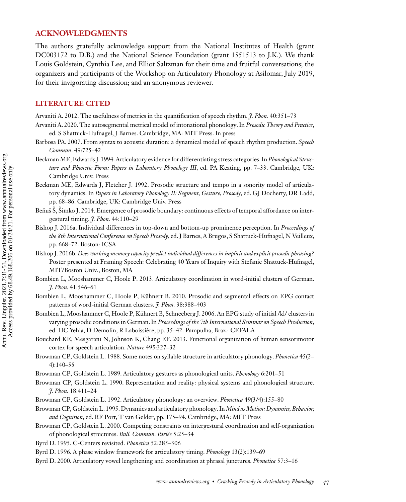### <span id="page-16-0"></span>**ACKNOWLEDGMENTS**

The authors gratefully acknowledge support from the National Institutes of Health (grant DC003172 to D.B.) and the National Science Foundation (grant 1551513 to J.K.). We thank Louis Goldstein, Cynthia Lee, and Elliot Saltzman for their time and fruitful conversations; the organizers and participants of the Workshop on Articulatory Phonology at Asilomar, July 2019, for their invigorating discussion; and an anonymous reviewer.

# **LITERATURE CITED**

Arvaniti A. 2012. The usefulness of metrics in the quantification of speech rhythm. *J. Phon.* 40:351–73

- Arvaniti A. 2020. The autosegmental metrical model of intonational phonology. In *Prosodic Theory and Practice*, ed. S Shattuck-Hufnagel, J Barnes. Cambridge, MA: MIT Press. In press
- Barbosa PA. 2007. From syntax to acoustic duration: a dynamical model of speech rhythm production. *Speech Commun*. 49:725–42
- Beckman ME, Edwards J. 1994. Articulatory evidence for differentiating stress categories. In *Phonological Structure and Phonetic Form: Papers in Laboratory Phonology III*, ed. PA Keating, pp. 7–33. Cambridge, UK: Cambridge Univ. Press
- Beckman ME, Edwards J, Fletcher J. 1992. Prosodic structure and tempo in a sonority model of articulatory dynamics. In *Papers in Laboratory Phonology II: Segment, Gesture, Prosody*, ed. GJ Docherty, DR Ladd, pp. 68–86. Cambridge, UK: Cambridge Univ. Press
- Benuš Š, Šimko J. 2014. Emergence of prosodic boundary: continuous effects of temporal affordance on intergestural timing. *J. Phon.* 44:110–29
- Bishop J. 2016a. Individual differences in top-down and bottom-up prominence perception. In *Proceedings of the 8th International Conference on Speech Prosody*, ed. J Barnes, A Brugos, S Shattuck-Hufnagel, N Veilleux, pp. 668–72. Boston: ICSA
- Bishop J. 2016b. *Does working memory capacity predict individual differences in implicit and explicit prosodic phrasing?* Poster presented at Framing Speech: Celebrating 40 Years of Inquiry with Stefanie Shattuck-Hufnagel, MIT/Boston Univ., Boston, MA
- Bombien L, Mooshammer C, Hoole P. 2013. Articulatory coordination in word-initial clusters of German. *J. Phon.* 41:546–61
- Bombien L, Mooshammer C, Hoole P, Kühnert B. 2010. Prosodic and segmental effects on EPG contact patterns of word-initial German clusters. *J. Phon.* 38:388–403
- Bombien L, Mooshammer C, Hoole P, Kühnert B, Schneeberg J. 2006. An EPG study of initial /kl/ clusters in varying prosodic conditions in German. In *Proceedings of the 7th International Seminar on Speech Production*, ed. HC Yehia, D Demolin, R Laboissière, pp. 35–42. Pampulha, Braz.: CEFALA
- Bouchard KE, Mesgarani N, Johnson K, Chang EF. 2013. Functional organization of human sensorimotor cortex for speech articulation. *Nature* 495:327–32
- Browman CP, Goldstein L. 1988. Some notes on syllable structure in articulatory phonology. *Phonetica* 45(2– 4):140–55
- Browman CP, Goldstein L. 1989. Articulatory gestures as phonological units. *Phonology* 6:201–51
- Browman CP, Goldstein L. 1990. Representation and reality: physical systems and phonological structure. *J. Phon.* 18:411–24
- Browman CP, Goldstein L. 1992. Articulatory phonology: an overview. *Phonetica* 49(3/4):155–80
- Browman CP, Goldstein L. 1995. Dynamics and articulatory phonology. In *Mind as Motion: Dynamics, Behavior, and Cognition*, ed. RF Port, T van Gelder, pp. 175–94. Cambridge, MA: MIT Press
- Browman CP, Goldstein L. 2000. Competing constraints on intergestural coordination and self-organization of phonological structures. *Bull. Commun. Parlée* 5:25–34
- Byrd D. 1995. C-Centers revisited. *Phonetica* 52:285–306
- Byrd D. 1996. A phase window framework for articulatory timing. *Phonology* 13(2):139–69
- Byrd D. 2000. Articulatory vowel lengthening and coordination at phrasal junctures. *Phonetica* 57:3–16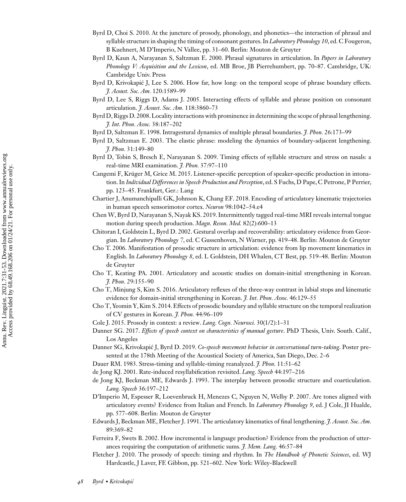- <span id="page-17-0"></span>Byrd D, Choi S. 2010. At the juncture of prosody, phonology, and phonetics—the interaction of phrasal and syllable structure in shaping the timing of consonant gestures. In *Laboratory Phonology 10*, ed. C Fougeron, B Kuehnert, M D'Imperio, N Vallee, pp. 31–60. Berlin: Mouton de Gruyter
- Byrd D, Kaun A, Narayanan S, Saltzman E. 2000. Phrasal signatures in articulation. In *Papers in Laboratory Phonology V: Acquisition and the Lexicon*, ed. MB Broe, JB Pierrehumbert, pp. 70–87. Cambridge, UK: Cambridge Univ. Press
- Byrd D, Krivokapić J, Lee S. 2006. How far, how long: on the temporal scope of phrase boundary effects. *J. Acoust. Soc. Am.* 120:1589–99
- Byrd D, Lee S, Riggs D, Adams J. 2005. Interacting effects of syllable and phrase position on consonant articulation. *J. Acoust. Soc. Am.* 118:3860–73
- Byrd D, Riggs D. 2008. Locality interactions with prominence in determining the scope of phrasal lengthening. *J. Int. Phon. Assoc.* 38:187–202
- Byrd D, Saltzman E. 1998. Intragestural dynamics of multiple phrasal boundaries. *J. Phon.* 26:173–99
- Byrd D, Saltzman E. 2003. The elastic phrase: modeling the dynamics of boundary-adjacent lengthening. *J. Phon.* 31:149–80
- Byrd D, Tobin S, Bresch E, Narayanan S. 2009. Timing effects of syllable structure and stress on nasals: a real-time MRI examination. *J. Phon.* 37:97–110
- Cangemi F, Krüger M, Grice M. 2015. Listener-specific perception of speaker-specific production in intonation. In *Individual Differences in Speech Production and Perception*, ed. S Fuchs, D Pape, C Petrone, P Perrier, pp. 123–45. Frankfurt, Ger.: Lang
- Chartier J, Anumanchipalli GK, Johnson K, Chang EF. 2018. Encoding of articulatory kinematic trajectories in human speech sensorimotor cortex. *Neuron* 98:1042–54.e4
- Chen W, Byrd D, Narayanan S, Nayak KS. 2019. Intermittently tagged real-time MRI reveals internal tongue motion during speech production. *Magn. Reson. Med.* 82(2):600–13
- Chitoran I, Goldstein L, Byrd D. 2002. Gestural overlap and recoverability: articulatory evidence from Georgian. In *Laboratory Phonology 7*, ed. C Gussenhoven, N Warner, pp. 419–48. Berlin: Mouton de Gruyter
- Cho T. 2006. Manifestation of prosodic structure in articulation: evidence from lip movement kinematics in English. In *Laboratory Phonology 8*, ed. L Goldstein, DH Whalen, CT Best, pp. 519–48. Berlin: Mouton de Gruyter
- Cho T, Keating PA. 2001. Articulatory and acoustic studies on domain-initial strengthening in Korean. *J. Phon.* 29:155–90
- Cho T, Minjung S, Kim S. 2016. Articulatory reflexes of the three-way contrast in labial stops and kinematic evidence for domain-initial strengthening in Korean. *J. Int. Phon. Assoc.* 46:129–55
- Cho T, Yeomin Y, Kim S. 2014. Effects of prosodic boundary and syllable structure on the temporal realization of CV gestures in Korean. *J. Phon.* 44:96–109
- Cole J. 2015. Prosody in context: a review. *Lang. Cogn. Neurosci.* 30(1/2):1–31
- Danner SG. 2017. *Effects of speech context on characteristics of manual gesture*. PhD Thesis, Univ. South. Calif., Los Angeles
- Danner SG, Krivokapić J, Byrd D. 2019. Co-speech movement behavior in conversational turn-taking. Poster presented at the 178th Meeting of the Acoustical Society of America, San Diego, Dec. 2–6
- Dauer RM. 1983. Stress-timing and syllable-timing reanalyzed. *J. Phon.* 11:51–62
- de Jong KJ. 2001. Rate-induced resyllabification revisited. *Lang. Speech* 44:197–216
- de Jong KJ, Beckman ME, Edwards J. 1993. The interplay between prosodic structure and coarticulation. *Lang. Speech* 36:197–212
- D'Imperio M, Espesser R, Loevenbruck H, Menezes C, Nguyen N, Welby P. 2007. Are tones aligned with articulatory events? Evidence from Italian and French. In *Laboratory Phonology 9*, ed. J Cole, JI Hualde, pp. 577–608. Berlin: Mouton de Gruyter
- Edwards J, Beckman ME, Fletcher J. 1991. The articulatory kinematics of final lengthening. *J. Acoust. Soc. Am.* 89:369–82
- Ferreira F, Swets B. 2002. How incremental is language production? Evidence from the production of utterances requiring the computation of arithmetic sums. *J. Mem. Lang.* 46:57–84
- Fletcher J. 2010. The prosody of speech: timing and rhythm. In *The Handbook of Phonetic Sciences*, ed. WJ Hardcastle, J Laver, FE Gibbon, pp. 521–602. New York: Wiley-Blackwell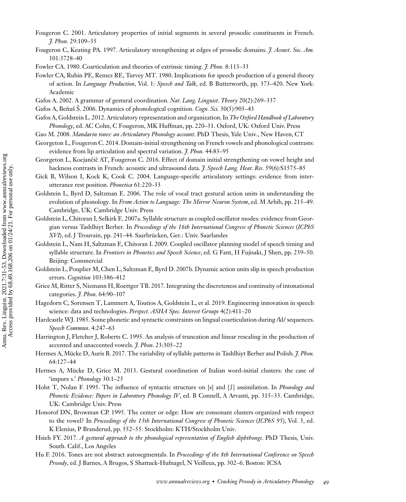- <span id="page-18-0"></span>Fougeron C. 2001. Articulatory properties of initial segments in several prosodic constituents in French. *J. Phon.* 29:109–35
- Fougeron C, Keating PA. 1997. Articulatory strengthening at edges of prosodic domains. *J. Acoust. Soc. Am.* 101:3728–40
- Fowler CA. 1980. Coarticulation and theories of extrinsic timing. *J. Phon.* 8:113–33
- Fowler CA, Rubin PE, Remez RE, Turvey MT. 1980. Implications for speech production of a general theory of action. In *Language Production*, Vol. 1: *Speech and Talk*, ed. B Butterworth, pp. 373–420. New York: Academic
- Gafos A. 2002. A grammar of gestural coordination. *Nat. Lang. Linguist. Theory* 20(2):269–337
- Gafos A, Beňuš S. 2006. Dynamics of phonological cognition. *Cogn. Sci.* 30(5):905-43
- Gafos A, Goldstein L. 2012. Articulatory representation and organization. In *The Oxford Handbook of Laboratory Phonology*, ed. AC Cohn, C Fougeron, MK Huffman, pp. 220–31. Oxford, UK: Oxford Univ. Press
- Gao M. 2008. *Mandarin tones: an Articulatory Phonology account*. PhD Thesis, Yale Univ., New Haven, CT
- Georgeton L, Fougeron C. 2014. Domain-initial strengthening on French vowels and phonological contrasts: evidence from lip articulation and spectral variation. *J. Phon.* 44:83–95
- Georgeton L, Kocjančič AT, Fougeron C. 2016. Effect of domain initial strengthening on vowel height and backness contrasts in French: acoustic and ultrasound data. *J. Speech Lang. Hear. Res.* 59(6):S1575–85
- Gick B, Wilson I, Kock K, Cook C. 2004. Language-specific articulatory settings: evidence from interutterance rest position. *Phonetica* 61:220–33
- Goldstein L, Byrd D, Saltzman E. 2006. The role of vocal tract gestural action units in understanding the evolution of phonology. In *From Action to Language: The Mirror Neuron System*, ed. M Arbib, pp. 215–49. Cambridge, UK: Cambridge Univ. Press
- Goldstein L, Chitoran I, Selkirk E. 2007a. Syllable structure as coupled oscillator modes: evidence from Georgian versus Tashlhiyt Berber. In *Proceedings of the 16th International Congress of Phonetic Sciences* (*ICPhS XVI*), ed. J Trouvain, pp. 241–44. Saarbrücken, Ger.: Univ. Saarlandes
- Goldstein L, Nam H, Saltzman E, Chitoran I. 2009. Coupled oscillator planning model of speech timing and syllable structure. In *Frontiers in Phonetics and Speech Science*, ed. G Fant, H Fujisaki, J Shen, pp. 239–50. Beijing: Commercial
- Goldstein L, Pouplier M, Chen L, Saltzman E, Byrd D. 2007b. Dynamic action units slip in speech production errors. *Cognition* 103:386–412
- Grice M, Ritter S, Niemann H, Roettger TB. 2017. Integrating the discreteness and continuity of intonational categories. *J. Phon.* 64:90–107
- Hagedorn C, Sorensen T, Lammert A, Toutios A, Goldstein L, et al. 2019. Engineering innovation in speech science: data and technologies. *Perspect. ASHA Spec. Interest Groups* 4(2):411–20
- Hardcastle WJ. 1985. Some phonetic and syntactic constraints on lingual coarticulation during /kl/ sequences. *Speech Commun*. 4:247–63
- Harrington J, Fletcher J, Roberts C. 1995. An analysis of truncation and linear rescaling in the production of accented and unaccented vowels. *J. Phon.* 23:305–22
- Hermes A, Mücke D, Auris B. 2017. The variability of syllable patterns in Tashlhiyt Berber and Polish. *J. Phon.* 64:127–44
- Hermes A, Mücke D, Grice M. 2013. Gestural coordination of Italian word-initial clusters: the case of 'impure s.' *Phonology* 30:1–25
- Holst T, Nolan F. 1995. The influence of syntactic structure on [s] and [J] assimilation. In *Phonology and Phonetic Evidence: Papers in Laboratory Phonology IV*, ed. B Connell, A Arvanti, pp. 315–33. Cambridge, UK: Cambridge Univ. Press
- Honorof DN, Browman CP. 1995. The center or edge: How are consonant clusters organized with respect to the vowel? In *Proceedings of the 13th International Congress of Phonetic Sciences* (*ICPhS 95*), Vol. 3, ed. K Elenius, P Branderud, pp. 552–55. Stockholm: KTH/Stockholm Univ.
- Hsieh FY. 2017. *A gestural approach to the phonological representation of English diphthongs*. PhD Thesis, Univ. South. Calif., Los Angeles
- Hu F. 2016. Tones are not abstract autosegmentals. In *Proceedings of the 8th International Conference on Speech Prosody*, ed. J Barnes, A Brugos, S Shattuck-Hufnagel, N Veilleux, pp. 302–6. Boston: ICSA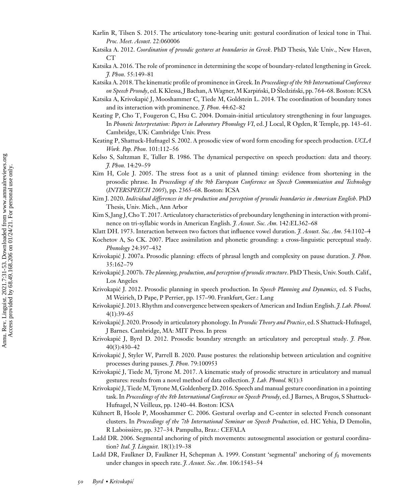- <span id="page-19-0"></span>Karlin R, Tilsen S. 2015. The articulatory tone-bearing unit: gestural coordination of lexical tone in Thai. *Proc. Meet. Acoust.* 22:060006
- Katsika A. 2012. *Coordination of prosodic gestures at boundaries in Greek*. PhD Thesis, Yale Univ., New Haven, CT
- Katsika A. 2016. The role of prominence in determining the scope of boundary-related lengthening in Greek. *J. Phon.* 55:149–81
- Katsika A. 2018. The kinematic profile of prominence in Greek. In *Proceedings of the 9th International Conference* on Speech Prosody, ed. K Klessa, J Bachan, A Wagner, M Karpiński, D Śledziński, pp. 764–68. Boston: ICSA
- Katsika A, Krivokapic J, Mooshammer C, Tiede M, Goldstein L. 2014. The coordination of boundary tones ´ and its interaction with prominence. *J. Phon.* 44:62–82
- Keating P, Cho T, Fougeron C, Hsu C. 2004. Domain-initial articulatory strengthening in four languages. In *Phonetic Interpretation: Papers in Laboratory Phonology VI*, ed. J Local, R Ogden, R Temple, pp. 143–61. Cambridge, UK: Cambridge Univ. Press
- Keating P, Shattuck-Hufnagel S. 2002. A prosodic view of word form encoding for speech production. *UCLA Work. Pap. Phon.* 101:112–56
- Kelso S, Saltzman E, Tuller B. 1986. The dynamical perspective on speech production: data and theory. *J. Phon.* 14:29–59
- Kim H, Cole J. 2005. The stress foot as a unit of planned timing: evidence from shortening in the prosodic phrase. In *Proceedings of the 9th European Conference on Speech Communication and Technology* (*INTERSPEECH 2005*), pp. 2365–68. Boston: ICSA
- Kim J. 2020. *Individual differences in the production and perception of prosodic boundaries in American English*. PhD Thesis, Univ. Mich., Ann Arbor
- Kim S, Jang J, Cho T. 2017. Articulatory characteristics of preboundary lengthening in interaction with prominence on tri-syllabic words in American English. *J. Acoust. Soc. Am.* 142:EL362–68
- Klatt DH. 1973. Interaction between two factors that influence vowel duration. *J. Acoust. Soc. Am.* 54:1102–4

Kochetov A, So CK. 2007. Place assimilation and phonetic grounding: a cross-linguistic perceptual study. *Phonology* 24:397–432

- Krivokapić J. 2007a. Prosodic planning: effects of phrasal length and complexity on pause duration. *J. Phon.* 35:162–79
- Krivokapić J. 2007b. *The planning, production, and perception of prosodic structure*. PhD Thesis, Univ. South. Calif. Los Angeles
- Krivokapić J. 2012. Prosodic planning in speech production. In *Speech Planning and Dynamics*, ed. S Fuchs, M Weirich, D Pape, P Perrier, pp. 157–90. Frankfurt, Ger.: Lang
- Krivokapić J. 2013. Rhythm and convergence between speakers of American and Indian English. *J. Lab. Phonol.* 4(1):39–65
- Krivokapić J. 2020. Prosody in articulatory phonology. In *Prosodic Theory and Practice*, ed. S Shattuck-Hufnagel, J Barnes. Cambridge, MA: MIT Press. In press
- Krivokapić J, Byrd D. 2012. Prosodic boundary strength: an articulatory and perceptual study. *J. Phon.* 40(3):430–42
- Krivokapić J, Styler W, Parrell B. 2020. Pause postures: the relationship between articulation and cognitive processes during pauses. *J. Phon.* 79:100953
- Krivokapic J, Tiede M, Tyrone M. 2017. A kinematic study of prosodic structure in articulatory and manual ´ gestures: results from a novel method of data collection. *J. Lab. Phonol.* 8(1):3
- Krivokapic J, Tiede M, Tyrone M, Goldenberg D. 2016. Speech and manual gesture coordination in a pointing ´ task. In *Proceedings of the 8th International Conference on Speech Prosody*, ed. J Barnes, A Brugos, S Shattuck-Hufnagel, N Veilleux, pp. 1240–44. Boston: ICSA
- Kühnert B, Hoole P, Mooshammer C. 2006. Gestural overlap and C-center in selected French consonant clusters. In *Proceedings of the 7th International Seminar on Speech Production*, ed. HC Yehia, D Demolin, R Laboissière, pp. 327–34. Pampulha, Braz.: CEFALA
- Ladd DR. 2006. Segmental anchoring of pitch movements: autosegmental association or gestural coordination? *Ital. J. Linguist.* 18(1):19–38
- Ladd DR, Faulkner D, Faulkner H, Schepman A. 1999. Constant 'segmental' anchoring of  $f_0$  movements under changes in speech rate. *J. Acoust. Soc. Am.* 106:1543–54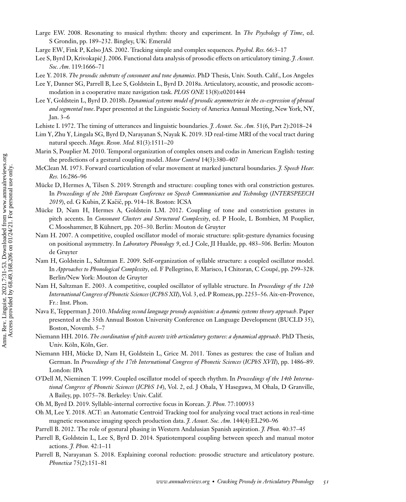- <span id="page-20-0"></span>Large EW. 2008. Resonating to musical rhythm: theory and experiment. In *The Psychology of Time*, ed. S Grondin, pp. 189–232. Bingley, UK: Emerald
- Large EW, Fink P, Kelso JAS. 2002. Tracking simple and complex sequences. *Psychol. Res.* 66:3–17
- Lee S, Byrd D, Krivokapić J. 2006. Functional data analysis of prosodic effects on articulatory timing. *J. Acoust. Soc. Am.* 119:1666–71
- Lee Y. 2018. *The prosodic substrate of consonant and tone dynamics*. PhD Thesis, Univ. South. Calif., Los Angeles
- Lee Y, Danner SG, Parrell B, Lee S, Goldstein L, Byrd D. 2018a. Articulatory, acoustic, and prosodic accommodation in a cooperative maze navigation task. *PLOS ONE* 13(8):e0201444
- Lee Y, Goldstein L, Byrd D. 2018b. *Dynamical systems model of prosodic asymmetries in the co-expression of phrasal and segmental tone*. Paper presented at the Linguistic Society of America Annual Meeting, New York, NY, Jan. 3–6
- Lehiste I. 1972. The timing of utterances and linguistic boundaries. *J. Acoust. Soc. Am.* 51(6, Part 2):2018–24
- Lim Y, Zhu Y, Lingala SG, Byrd D, Narayanan S, Nayak K. 2019. 3D real-time MRI of the vocal tract during natural speech. *Magn. Reson. Med.* 81(3):1511–20
- Marin S, Pouplier M. 2010. Temporal organization of complex onsets and codas in American English: testing the predictions of a gestural coupling model. *Motor Control* 14(3):380–407
- McClean M. 1973. Forward coarticulation of velar movement at marked junctural boundaries. *J. Speech Hear. Res.* 16:286–96
- Mücke D, Hermes A, Tilsen S. 2019. Strength and structure: coupling tones with oral constriction gestures. In *Proceedings of the 20th European Conference on Speech Communication and Technology* (*INTERSPEECH* 2019), ed. G Kubin, Z Kačič, pp. 914–18. Boston: ICSA
- Mücke D, Nam H, Hermes A, Goldstein LM. 2012. Coupling of tone and constriction gestures in pitch accents. In *Consonant Clusters and Structural Complexity*, ed. P Hoole, L Bombien, M Pouplier, C Mooshammer, B Kühnert, pp. 205–30. Berlin: Mouton de Gruyter
- Nam H. 2007. A competitive, coupled oscillator model of moraic structure: split-gesture dynamics focusing on positional asymmetry. In *Laboratory Phonology 9*, ed. J Cole, JI Hualde, pp. 483–506. Berlin: Mouton de Gruyter
- Nam H, Goldstein L, Saltzman E. 2009. Self-organization of syllable structure: a coupled oscillator model. In *Approaches to Phonological Complexity*, ed. F Pellegrino, E Marisco, I Chitoran, C Coupé, pp. 299–328. Berlin/New York: Mouton de Gruyter
- Nam H, Saltzman E. 2003. A competitive, coupled oscillator of syllable structure. In *Proceedings of the 12th International Congress of Phonetic Sciences* (*ICPhS XII*), Vol. 3, ed. P Romeas, pp. 2253–56. Aix-en-Provence, Fr.: Inst. Phon.
- Nava E, Tepperman J. 2010. *Modeling second language prosody acquisition: a dynamic systems theory approach*. Paper presented at the 35th Annual Boston University Conference on Language Development (BUCLD 35), Boston, Novemb. 5–7
- Niemann HH. 2016. *The coordination of pitch accents with articulatory gestures: a dynamical approach*. PhD Thesis, Univ. Köln, Köln, Ger.
- Niemann HH, Mücke D, Nam H, Goldstein L, Grice M. 2011. Tones as gestures: the case of Italian and German. In *Proceedings of the 17th International Congress of Phonetic Sciences* (*ICPhS XVII*), pp. 1486–89. London: IPA
- O'Dell M, Nieminen T. 1999. Coupled oscillator model of speech rhythm. In *Proceedings of the 14th International Congress of Phonetic Sciences* (*ICPhS 14*), Vol. 2, ed. J Ohala, Y Hasegawa, M Ohala, D Granville, A Bailey, pp. 1075–78. Berkeley: Univ. Calif.
- Oh M, Byrd D. 2019. Syllable-internal corrective focus in Korean. *J. Phon.* 77:100933
- Oh M, Lee Y. 2018. ACT: an Automatic Centroid Tracking tool for analyzing vocal tract actions in real-time magnetic resonance imaging speech production data. *J. Acoust. Soc. Am.* 144(4):EL290–96
- Parrell B. 2012. The role of gestural phasing in Western Andalusian Spanish aspiration. *J. Phon.* 40:37–45
- Parrell B, Goldstein L, Lee S, Byrd D. 2014. Spatiotemporal coupling between speech and manual motor actions. *J. Phon.* 42:1–11
- Parrell B, Narayanan S. 2018. Explaining coronal reduction: prosodic structure and articulatory posture. *Phonetica* 75(2):151–81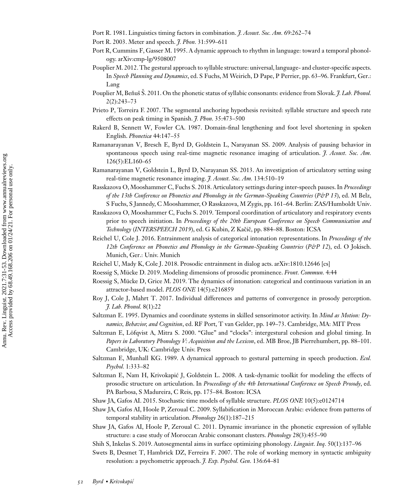<span id="page-21-0"></span>Port R. 1981. Linguistics timing factors in combination. *J. Acoust. Soc. Am.* 69:262–74

- Port R. 2003. Meter and speech. *J. Phon.* 31:599–611
- Port R, Cummins F, Gasser M. 1995. A dynamic approach to rhythm in language: toward a temporal phonology. arXiv:cmp-lg/9508007
- Pouplier M. 2012. The gestural approach to syllable structure: universal, language- and cluster-specific aspects. In *Speech Planning and Dynamics*, ed. S Fuchs, M Weirich, D Pape, P Perrier, pp. 63–96. Frankfurt, Ger.: Lang
- Pouplier M, Benuš Š. 2011. On the phonetic status of syllabic consonants: evidence from Slovak. *† Lab. Phonol.* 2(2):243–73
- Prieto P, Torreira F. 2007. The segmental anchoring hypothesis revisited: syllable structure and speech rate effects on peak timing in Spanish. *J. Phon.* 35:473–500
- Rakerd B, Sennett W, Fowler CA. 1987. Domain-final lengthening and foot level shortening in spoken English. *Phonetica* 44:147–55
- Ramanarayanan V, Bresch E, Byrd D, Goldstein L, Narayanan SS. 2009. Analysis of pausing behavior in spontaneous speech using real-time magnetic resonance imaging of articulation. *J. Acoust. Soc. Am.* 126(5):EL160–65
- Ramanarayanan V, Goldstein L, Byrd D, Narayanan SS. 2013. An investigation of articulatory setting using real-time magnetic resonance imaging. *J. Acoust. Soc. Am.* 134:510–19
- Rasskazova O, Mooshammer C, Fuchs S. 2018. Articulatory settings during inter-speech pauses. In *Proceedings of the 13th Conference on Phonetics and Phonology in the German-Speaking Countries* (*P&P 13*), ed. M Belz, S Fuchs, S Jannedy, C Mooshammer, O Rasskazova, M Zygis, pp. 161–64. Berlin: ZAS/Humboldt Univ.
- Rasskazova O, Mooshammer C, Fuchs S. 2019. Temporal coordination of articulatory and respiratory events prior to speech initiation. In *Proceedings of the 20th European Conference on Speech Communication and Technology* (*INTERSPEECH 2019*), ed. G Kubin, Z Kaciˇ c, pp. 884–88. Boston: ICSA ˇ
- Reichel U, Cole J. 2016. Entrainment analysis of categorical intonation representations. In *Proceedings of the* 12th Conference on Phonetics and Phonology in the German-Speaking Countries (P&P 12), ed. O Jokisch. Munich, Ger.: Univ. Munich
- Reichel U, Mady K, Cole J. 2018. Prosodic entrainment in dialog acts. arXiv:1810.12646 [cs]
- Roessig S, Mücke D. 2019. Modeling dimensions of prosodic prominence. *Front. Commun.* 4:44
- Roessig S, Mücke D, Grice M. 2019. The dynamics of intonation: categorical and continuous variation in an attractor-based model. *PLOS ONE* 14(5):e216859
- Roy J, Cole J, Mahrt T. 2017. Individual differences and patterns of convergence in prosody perception. *J. Lab. Phonol.* 8(1):22
- Saltzman E. 1995. Dynamics and coordinate systems in skilled sensorimotor activity. In *Mind as Motion: Dynamics, Behavior, and Cognition*, ed. RF Port, T van Gelder, pp. 149–73. Cambridge, MA: MIT Press
- Saltzman E, Löfqvist A, Mitra S. 2000. "Glue" and "clocks": intergestural cohesion and global timing. In *Papers in Laboratory Phonology V: Acquisition and the Lexicon*, ed. MB Broe, JB Pierrehumbert, pp. 88–101. Cambridge, UK: Cambridge Univ. Press
- Saltzman E, Munhall KG. 1989. A dynamical approach to gestural patterning in speech production. *Ecol. Psychol.* 1:333–82
- Saltzman E, Nam H, Krivokapic J, Goldstein L. 2008. A task-dynamic toolkit for modeling the effects of ´ prosodic structure on articulation. In *Proceedings of the 4th International Conference on Speech Prosody*, ed. PA Barbosa, S Madureira, C Reis, pp. 175–84. Boston: ICSA
- Shaw JA, Gafos AI. 2015. Stochastic time models of syllable structure. *PLOS ONE* 10(5):e0124714
- Shaw JA, Gafos AI, Hoole P, Zeroual C. 2009. Syllabification in Moroccan Arabic: evidence from patterns of temporal stability in articulation. *Phonology* 26(1):187–215
- Shaw JA, Gafos AI, Hoole P, Zeroual C. 2011. Dynamic invariance in the phonetic expression of syllable structure: a case study of Moroccan Arabic consonant clusters. *Phonology* 28(3):455–90
- Shih S, Inkelas S. 2019. Autosegmental aims in surface optimizing phonology. *Linguist. Inq.* 50(1):137–96
- Swets B, Desmet T, Hambrick DZ, Ferreira F. 2007. The role of working memory in syntactic ambiguity resolution: a psychometric approach. *J. Exp. Psychol. Gen.* 136:64–81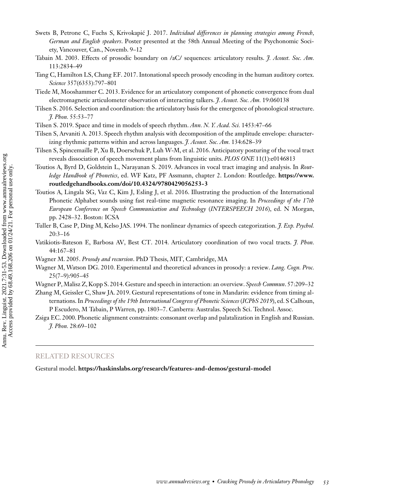- <span id="page-22-0"></span>Swets B, Petrone C, Fuchs S, Krivokapić J. 2017. *Individual differences in planning strategies among French*, *German and English speakers*. Poster presented at the 58th Annual Meeting of the Psychonomic Society, Vancouver, Can., Novemb. 9–12
- Tabain M. 2003. Effects of prosodic boundary on /aC/ sequences: articulatory results. *J. Acoust. Soc. Am.* 113:2834–49
- Tang C, Hamilton LS, Chang EF. 2017. Intonational speech prosody encoding in the human auditory cortex. *Science* 357(6353):797–801
- Tiede M, Mooshammer C. 2013. Evidence for an articulatory component of phonetic convergence from dual electromagnetic articulometer observation of interacting talkers. *J. Acoust. Soc. Am.* 19:060138
- Tilsen S. 2016. Selection and coordination: the articulatory basis for the emergence of phonological structure. *J. Phon.* 55:53–77
- Tilsen S. 2019. Space and time in models of speech rhythm. *Ann. N. Y. Acad. Sci.* 1453:47–66
- Tilsen S, Arvaniti A. 2013. Speech rhythm analysis with decomposition of the amplitude envelope: characterizing rhythmic patterns within and across languages. *J. Acoust. Soc. Am.* 134:628–39
- Tilsen S, Spincemaille P, Xu B, Doerschuk P, Luh W-M, et al. 2016. Anticipatory posturing of the vocal tract reveals dissociation of speech movement plans from linguistic units. *PLOS ONE* 11(1):e0146813
- Toutios A, Byrd D, Goldstein L, Narayanan S. 2019. Advances in vocal tract imaging and analysis. In *Routledge Handbook of Phonetics*[, ed. WF Katz, PF Assmann, chapter 2. London: Routledge.](https://www.routledgehandbooks.com/doi/10.4324/9780429056253-3) **https://www. routledgehandbooks.com/doi/10.4324/9780429056253-3**
- Toutios A, Lingala SG, Vaz C, Kim J, Esling J, et al. 2016. Illustrating the production of the International Phonetic Alphabet sounds using fast real-time magnetic resonance imaging. In *Proceedings of the 17th European Conference on Speech Communication and Technology* (*INTERSPEECH 2016*), ed. N Morgan, pp. 2428–32. Boston: ICSA
- Tuller B, Case P, Ding M, Kelso JAS. 1994. The nonlinear dynamics of speech categorization. *J. Exp. Psychol.* 20:3–16
- Vatikiotis-Bateson E, Barbosa AV, Best CT. 2014. Articulatory coordination of two vocal tracts. *J. Phon.* 44:167–81
- Wagner M. 2005. *Prosody and recursion*. PhD Thesis, MIT, Cambridge, MA
- Wagner M, Watson DG. 2010. Experimental and theoretical advances in prosody: a review. *Lang. Cogn. Proc.* 25(7–9):905–45
- Wagner P,Malisz Z, Kopp S. 2014. Gesture and speech in interaction: an overview. *Speech Commun*. 57:209–32
- Zhang M, Geissler C, Shaw JA. 2019. Gestural representations of tone in Mandarin: evidence from timing alternations. In *Proceedings of the 19th International Congress of Phonetic Sciences* (*ICPhS 2019*), ed. S Calhoun, P Escudero, M Tabain, P Warren, pp. 1803–7. Canberra: Australas. Speech Sci. Technol. Assoc.
- Zsiga EC. 2000. Phonetic alignment constraints: consonant overlap and palatalization in English and Russian. *J. Phon.* 28:69–102

#### RELATED RESOURCES

Gestural model. **<https://haskinslabs.org/research/features-and-demos/gestural-model>**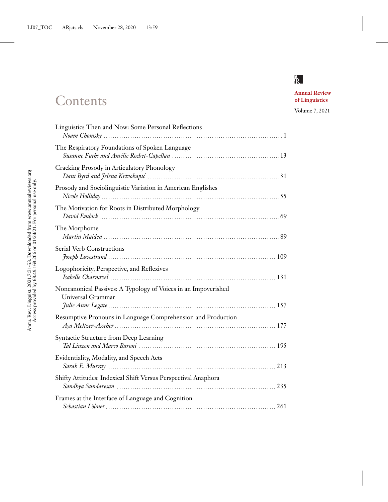# **Contents**

**Annual Review of Linguistics**

Volume 7, 2021

| Linguistics Then and Now: Some Personal Reflections                                 |
|-------------------------------------------------------------------------------------|
| The Respiratory Foundations of Spoken Language                                      |
| Cracking Prosody in Articulatory Phonology                                          |
| Prosody and Sociolinguistic Variation in American Englishes                         |
| The Motivation for Roots in Distributed Morphology                                  |
| The Morphome                                                                        |
| <b>Serial Verb Constructions</b>                                                    |
| Logophoricity, Perspective, and Reflexives                                          |
| Noncanonical Passives: A Typology of Voices in an Impoverished<br>Universal Grammar |
| Resumptive Pronouns in Language Comprehension and Production                        |
| Syntactic Structure from Deep Learning                                              |
| Evidentiality, Modality, and Speech Acts                                            |
| Shifty Attitudes: Indexical Shift Versus Perspectival Anaphora                      |
| Frames at the Interface of Language and Cognition                                   |